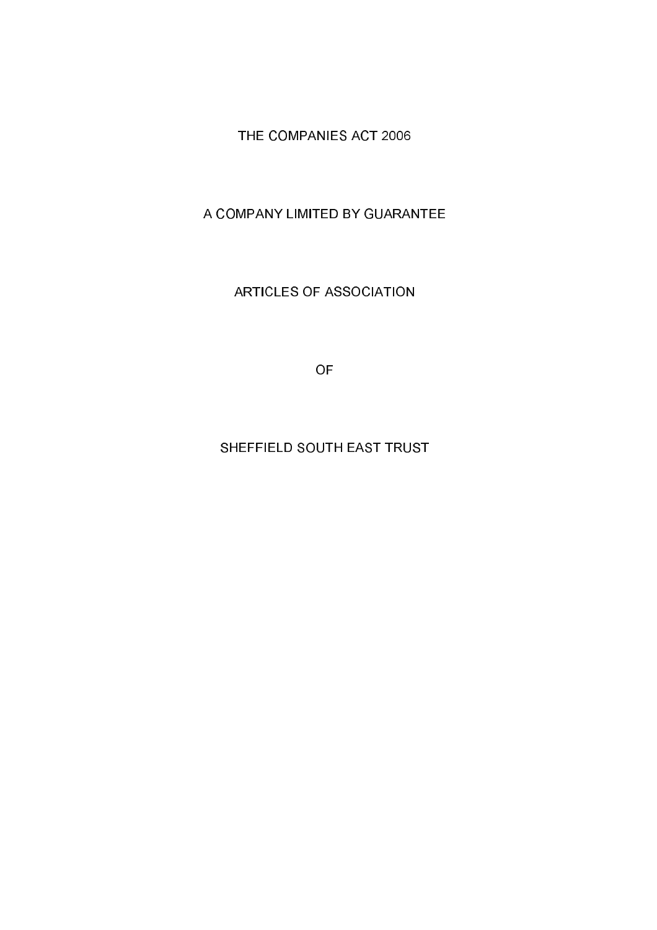THE COMPANIES ACT 2006

A COMPANY LIMITED BY GUARANTEE

**ARTICLES OF ASSOCIATION** 

**OF** 

# SHEFFIELD SOUTH EAST TRUST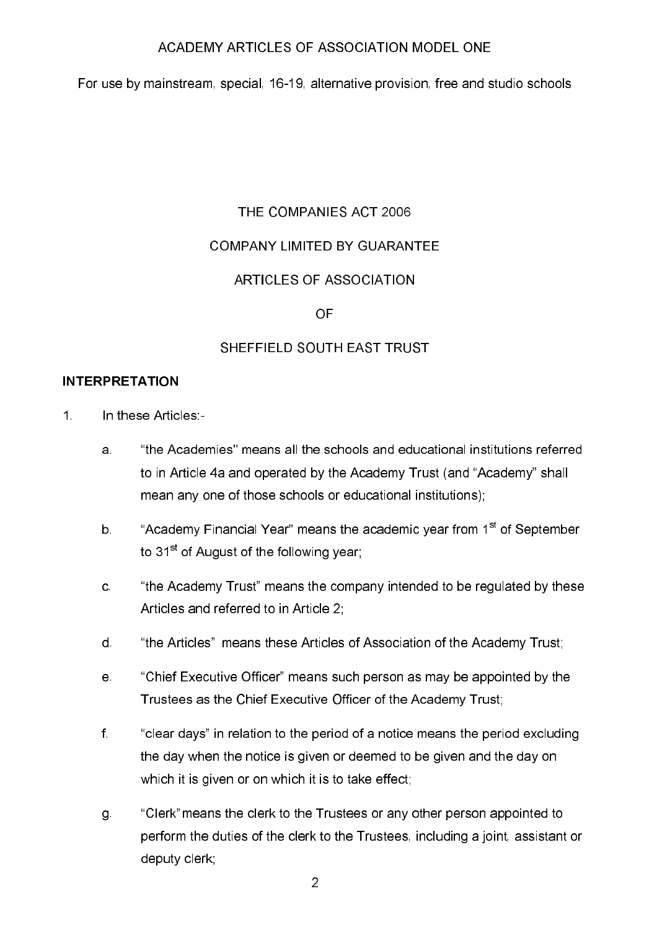For use by mainstream, special, 16-19, alternative provision, free and studio schools

# THE COMPANIES ACT 2006

### **COMPANY LIMITED BY GUARANTEE**

# **ARTICLES OF ASSOCIATION**

#### OF

# SHEFFIFI D SOUTH FAST TRUST

### **INTERPRETATION**

- $1<sup>1</sup>$ In these Articles:-
	- "the Academies" means all the schools and educational institutions referred  $\mathbf{a}$ to in Article 4a and operated by the Academy Trust (and "Academy" shall mean any one of those schools or educational institutions);
	- "Academy Financial Year" means the academic year from 1<sup>st</sup> of September  $b$ to 31<sup>st</sup> of August of the following year:
	- "the Academy Trust" means the company intended to be regulated by these  $\mathbf{C}$ Articles and referred to in Article 2,
	- $d_{\perp}$ "the Articles" means these Articles of Association of the Academy Trust;
	- "Chief Executive Officer" means such person as may be appointed by the  $e<sub>1</sub>$ Trustees as the Chief Executive Officer of the Academy Trust;
	- $f$ "clear days" in relation to the period of a notice means the period excluding the day when the notice is given or deemed to be given and the day on which it is given or on which it is to take effect;
	- "Clerk" means the clerk to the Trustees or any other person appointed to g. perform the duties of the clerk to the Trustees, including a joint, assistant or deputy clerk;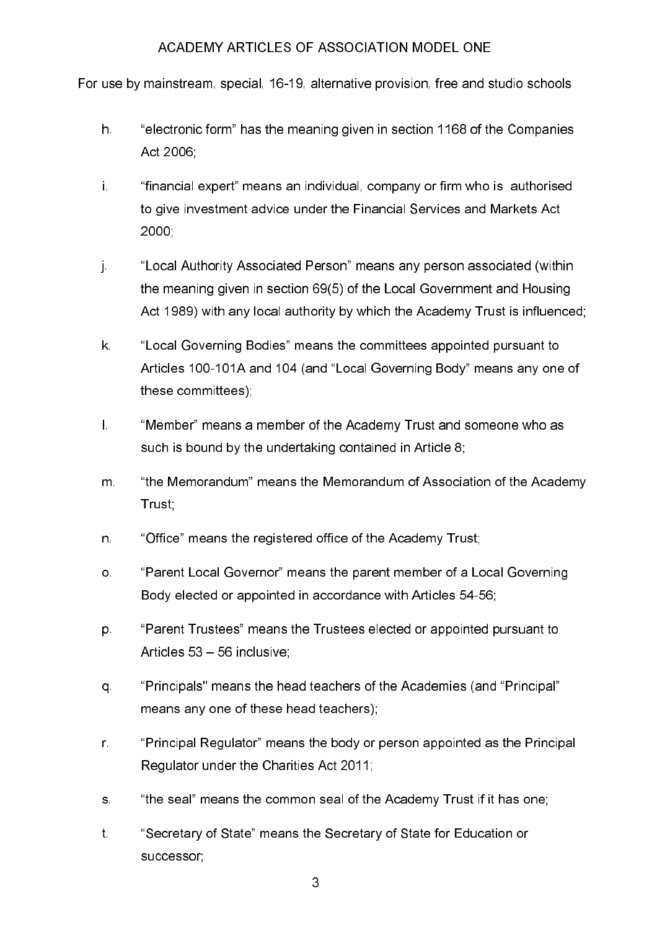For use by mainstream, special, 16-19, alternative provision, free and studio schools

- h. "electronic form" has the meaning given in section 1168 of the Companies Act 2006:
- i. "financial expert" means an individual, company or firm who is authorised to give investment advice under the Financial Services and Markets Act 2000
- ÎΓ. "Local Authority Associated Person" means any person associated (within the meaning given in section 69(5) of the Local Government and Housing Act 1989) with any local authority by which the Academy Trust is influenced;
- $\mathsf{k}$ "Local Governing Bodies" means the committees appointed pursuant to Articles 100-101A and 104 (and "Local Governing Body" means any one of these committees):
- $\mathbf{L}$ "Member" means a member of the Academy Trust and someone who as such is bound by the undertaking contained in Article 8;
- $m$ "the Memorandum" means the Memorandum of Association of the Academy Trust:
- "Office" means the registered office of the Academy Trust: n.
- "Parent Local Governor" means the parent member of a Local Governing О. Body elected or appointed in accordance with Articles 54-56;
- "Parent Trustees" means the Trustees elected or appointed pursuant to p. Articles 53 - 56 inclusive;
- "Principals" means the head teachers of the Academies (and "Principal" q. means any one of these head teachers);
- $\mathsf{r}$ . "Principal Regulator" means the body or person appointed as the Principal Regulator under the Charities Act 2011;
- "the seal" means the common seal of the Academy Trust if it has one:  $S$
- $t$ . "Secretary of State" means the Secretary of State for Education or successor: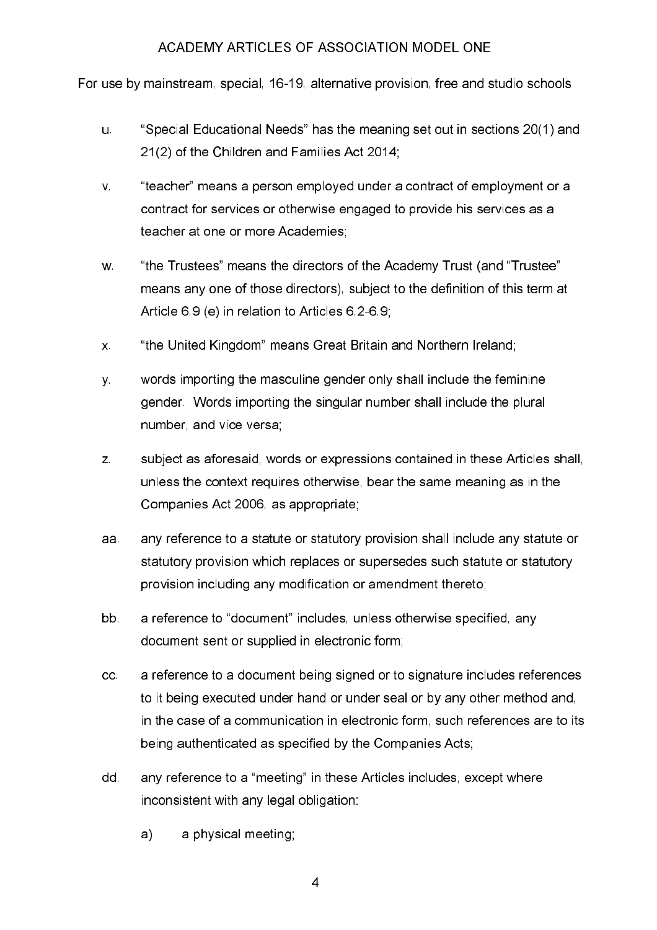For use by mainstream, special, 16-19, alternative provision, free and studio schools

- "Special Educational Needs" has the meaning set out in sections 20(1) and u. 21(2) of the Children and Families Act 2014:
- $V<sub>1</sub>$ "teacher" means a person employed under a contract of employment or a contract for services or otherwise engaged to provide his services as a teacher at one or more Academies,
- "the Trustees" means the directors of the Academy Trust (and "Trustee" W. means any one of those directors), subject to the definition of this term at Article 6.9 (e) in relation to Articles 6.2-6.9.
- "the United Kingdom" means Great Britain and Northern Ireland;  $\mathsf{X}^{\perp}$
- words importing the masculine gender only shall include the feminine  $\mathbf{y}$ . gender. Words importing the singular number shall include the plural number, and vice versa.
- $\mathsf{Z}$ subject as aforesaid, words or expressions contained in these Articles shall. unless the context requires otherwise, bear the same meaning as in the Companies Act 2006, as appropriate:
- aa. any reference to a statute or statutory provision shall include any statute or statutory provision which replaces or supersedes such statute or statutory provision including any modification or amendment thereto;
- bb. a reference to "document" includes, unless otherwise specified, any document sent or supplied in electronic form;
- a reference to a document being signed or to signature includes references  $cc$ to it being executed under hand or under seal or by any other method and. in the case of a communication in electronic form, such references are to its being authenticated as specified by the Companies Acts:
- any reference to a "meeting" in these Articles includes, except where dd. inconsistent with any legal obligation:
	- $a)$ a physical meeting: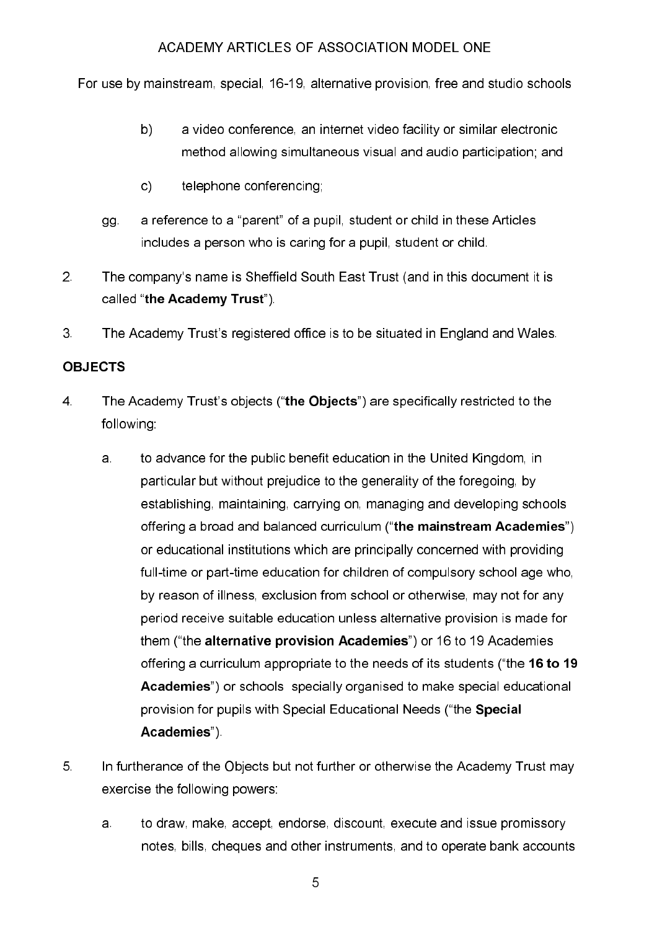For use by mainstream, special, 16-19, alternative provision, free and studio schools

- $b)$ a video conference, an internet video facility or similar electronic method allowing simultaneous visual and audio participation; and
- $c)$ telephone conferencing:
- a reference to a "parent" of a pupil, student or child in these Articles gg. includes a person who is caring for a pupil, student or child.
- $2<sup>1</sup>$ The company's name is Sheffield South East Trust (and in this document it is called "the Academy Trust").
- 3 The Academy Trust's registered office is to be situated in England and Wales.

# **OBJECTS**

- $\overline{4}$ The Academy Trust's objects ("the Objects") are specifically restricted to the following:
	- to advance for the public benefit education in the United Kingdom, in a. particular but without prejudice to the generality of the foregoing, by establishing, maintaining, carrying on, managing and developing schools offering a broad and balanced curriculum ("the mainstream Academies") or educational institutions which are principally concerned with providing full-time or part-time education for children of compulsory school age who, by reason of illness, exclusion from school or otherwise, may not for any period receive suitable education unless alternative provision is made for them ("the alternative provision Academies") or 16 to 19 Academies offering a curriculum appropriate to the needs of its students ("the 16 to 19 Academies") or schools specially organised to make special educational provision for pupils with Special Educational Needs ("the Special Academies")
- 5. In furtherance of the Objects but not further or otherwise the Academy Trust may exercise the following powers:
	- to draw, make, accept, endorse, discount, execute and issue promissory a. notes, bills, cheques and other instruments, and to operate bank accounts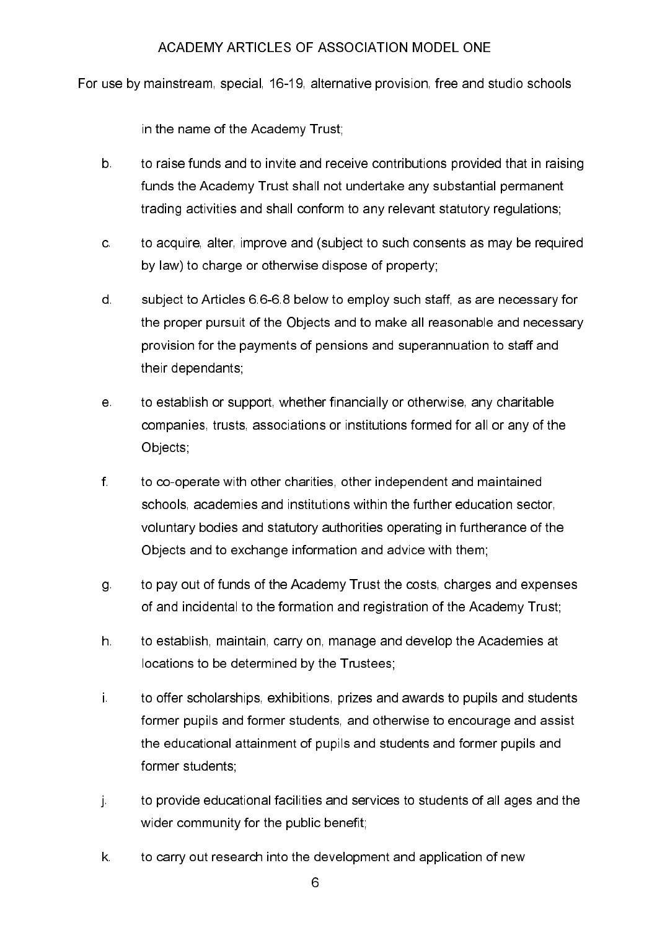For use by mainstream, special, 16-19, alternative provision, free and studio schools

in the name of the Academy Trust:

- $b$ to raise funds and to invite and receive contributions provided that in raising funds the Academy Trust shall not undertake any substantial permanent trading activities and shall conform to any relevant statutory regulations;
- to acquire, alter, improve and (subject to such consents as may be required  $\mathbf{C}$ by law) to charge or otherwise dispose of property.
- $\mathsf{d}$ subject to Articles 6.6-6.8 below to employ such staff, as are necessary for the proper pursuit of the Objects and to make all reasonable and necessary provision for the payments of pensions and superannuation to staff and their dependants;
- to establish or support, whether financially or otherwise, any charitable е. companies, trusts, associations or institutions formed for all or any of the Objects;
- $f$ . to co-operate with other charities, other independent and maintained schools, academies and institutions within the further education sector, voluntary bodies and statutory authorities operating in furtherance of the Objects and to exchange information and advice with them:
- to pay out of funds of the Academy Trust the costs, charges and expenses g. of and incidental to the formation and registration of the Academy Trust:
- h. to establish, maintain, carry on, manage and develop the Academies at locations to be determined by the Trustees;
- i. to offer scholarships, exhibitions, prizes and awards to pupils and students former pupils and former students, and otherwise to encourage and assist the educational attainment of pupils and students and former pupils and former students:
- $\mathbf{j}$ . to provide educational facilities and services to students of all ages and the wider community for the public benefit;
- to carry out research into the development and application of new  $\mathsf{k}$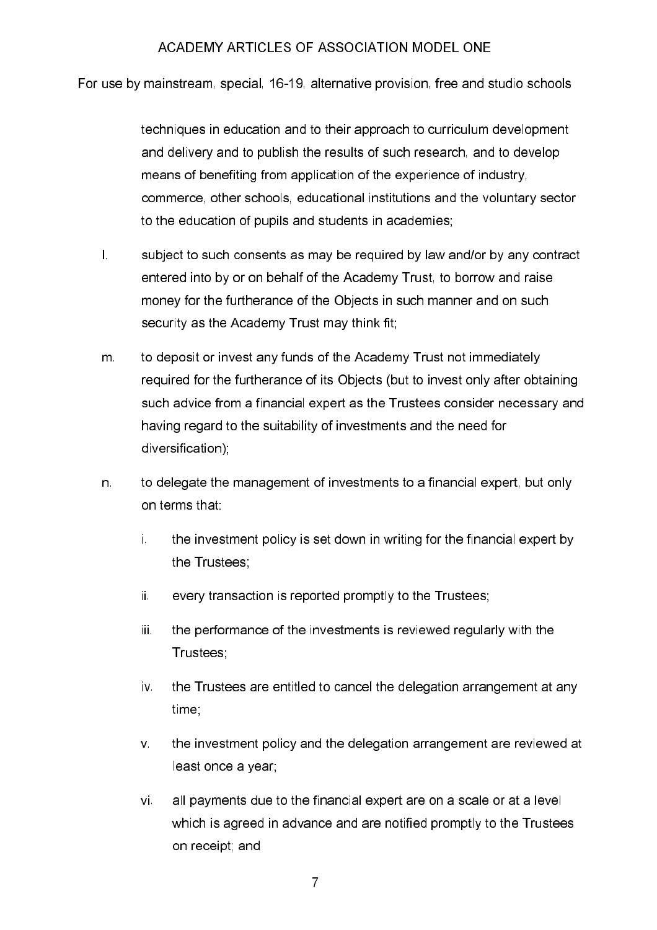For use by mainstream, special, 16-19, alternative provision, free and studio schools

techniques in education and to their approach to curriculum development and delivery and to publish the results of such research, and to develop means of benefiting from application of the experience of industry, commerce, other schools, educational institutions and the voluntary sector to the education of pupils and students in academies;

- $\mathbf{L}$ subject to such consents as may be required by law and/or by any contract entered into by or on behalf of the Academy Trust, to borrow and raise money for the furtherance of the Objects in such manner and on such security as the Academy Trust may think fit;
- $m<sub>1</sub>$ to deposit or invest any funds of the Academy Trust not immediately required for the furtherance of its Objects (but to invest only after obtaining such advice from a financial expert as the Trustees consider necessary and having regard to the suitability of investments and the need for diversification).
- n. to delegate the management of investments to a financial expert, but only on terms that:
	- i. the investment policy is set down in writing for the financial expert by the Trustees:
	- ii. every transaction is reported promptly to the Trustees;
	- iii. the performance of the investments is reviewed regularly with the Trustees:
	- $\mathbf{V}$ the Trustees are entitled to cancel the delegation arrangement at any time:
	- $V$ the investment policy and the delegation arrangement are reviewed at least once a year:
	- all payments due to the financial expert are on a scale or at a level vi. which is agreed in advance and are notified promptly to the Trustees on receipt, and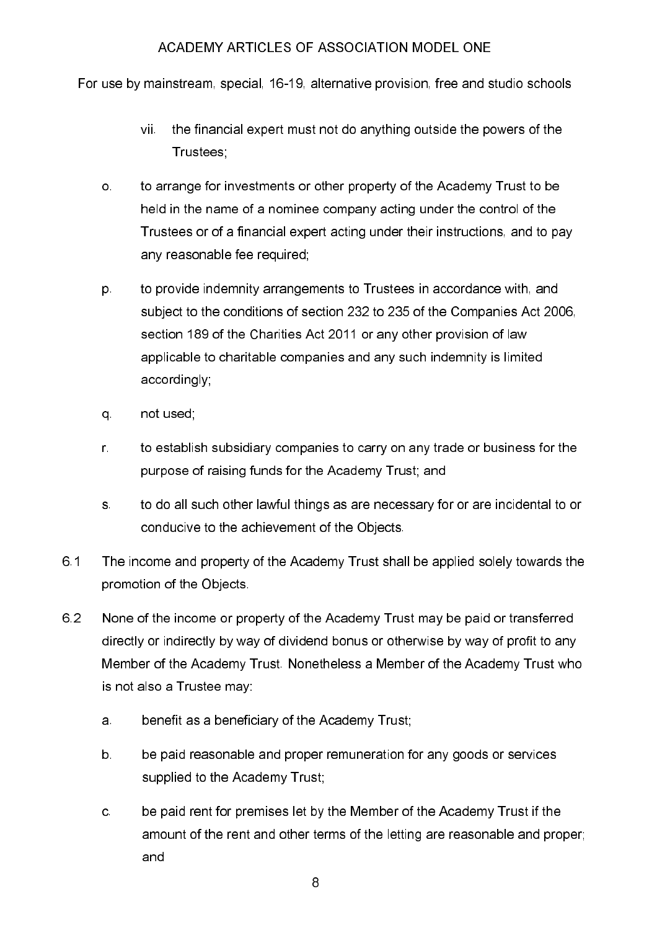For use by mainstream, special, 16-19, alternative provision, free and studio schools

- the financial expert must not do anything outside the powers of the vii. Trustees:
- $\circ$ to arrange for investments or other property of the Academy Trust to be held in the name of a nominee company acting under the control of the Trustees or of a financial expert acting under their instructions, and to pay any reasonable fee required;
- to provide indemnity arrangements to Trustees in accordance with, and p. subject to the conditions of section 232 to 235 of the Companies Act 2006, section 189 of the Charities Act 2011 or any other provision of law applicable to charitable companies and any such indemnity is limited accordingly;
- q. not used;
- to establish subsidiary companies to carry on any trade or business for the  $r_{\perp}$ purpose of raising funds for the Academy Trust; and
- to do all such other lawful things as are necessary for or are incidental to or  $S$ conducive to the achievement of the Objects.
- 6.1 The income and property of the Academy Trust shall be applied solely towards the promotion of the Objects
- 6.2 None of the income or property of the Academy Trust may be paid or transferred directly or indirectly by way of dividend bonus or otherwise by way of profit to any Member of the Academy Trust. Nonetheless a Member of the Academy Trust who is not also a Trustee may:
	- benefit as a beneficiary of the Academy Trust;  $a<sub>1</sub>$
	- $b$ be paid reasonable and proper remuneration for any goods or services supplied to the Academy Trust:
	- be paid rent for premises let by the Member of the Academy Trust if the  $\mathbf{C}$ amount of the rent and other terms of the letting are reasonable and proper; and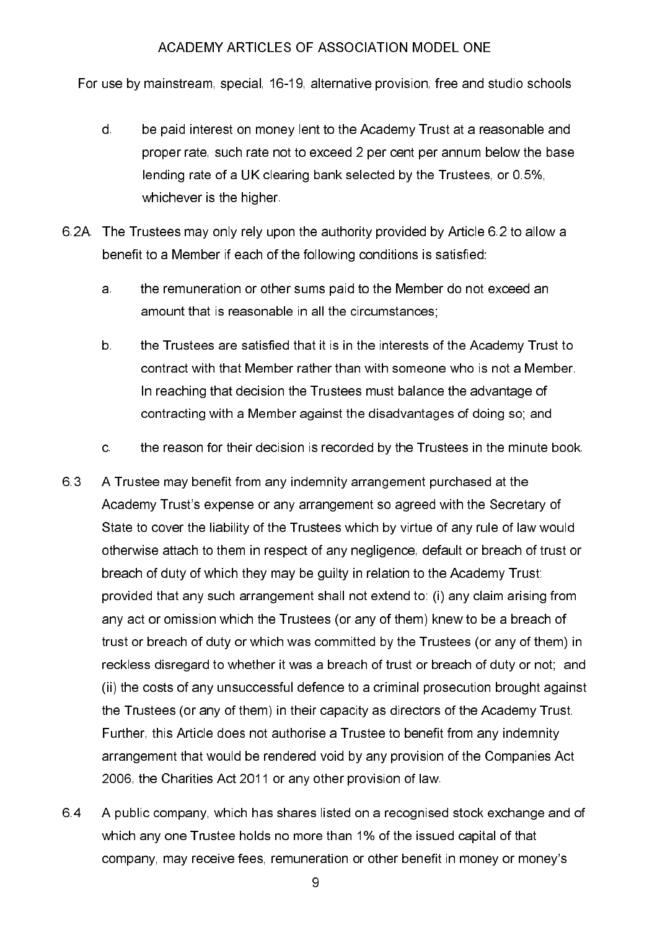For use by mainstream, special, 16-19, alternative provision, free and studio schools

- $\mathsf{d}$ be paid interest on money lent to the Academy Trust at a reasonable and proper rate, such rate not to exceed 2 per cent per annum below the base lending rate of a UK clearing bank selected by the Trustees, or 0.5%, whichever is the higher.
- 6.2A. The Trustees may only rely upon the authority provided by Article 6.2 to allow a benefit to a Member if each of the following conditions is satisfied:
	- the remuneration or other sums paid to the Member do not exceed an a. amount that is reasonable in all the circumstances:
	- $b<sub>1</sub>$ the Trustees are satisfied that it is in the interests of the Academy Trust to contract with that Member rather than with someone who is not a Member. In reaching that decision the Trustees must balance the advantage of contracting with a Member against the disadvantages of doing so, and
	- $\mathbf{C}$ the reason for their decision is recorded by the Trustees in the minute book.
- 63 A Trustee may benefit from any indemnity arrangement purchased at the Academy Trust's expense or any arrangement so agreed with the Secretary of State to cover the liability of the Trustees which by virtue of any rule of law would otherwise attach to them in respect of any negligence, default or breach of trust or breach of duty of which they may be guilty in relation to the Academy Trust: provided that any such arrangement shall not extend to: (i) any claim arising from any act or omission which the Trustees (or any of them) knew to be a breach of trust or breach of duty or which was committed by the Trustees (or any of them) in reckless disregard to whether it was a breach of trust or breach of duty or not; and (ii) the costs of any unsuccessful defence to a criminal prosecution brought against the Trustees (or any of them) in their capacity as directors of the Academy Trust. Further, this Article does not authorise a Trustee to benefit from any indemnity arrangement that would be rendered void by any provision of the Companies Act 2006, the Charities Act 2011 or any other provision of law.
- 64 A public company, which has shares listed on a recognised stock exchange and of which any one Trustee holds no more than 1% of the issued capital of that company, may receive fees, remuneration or other benefit in money or money's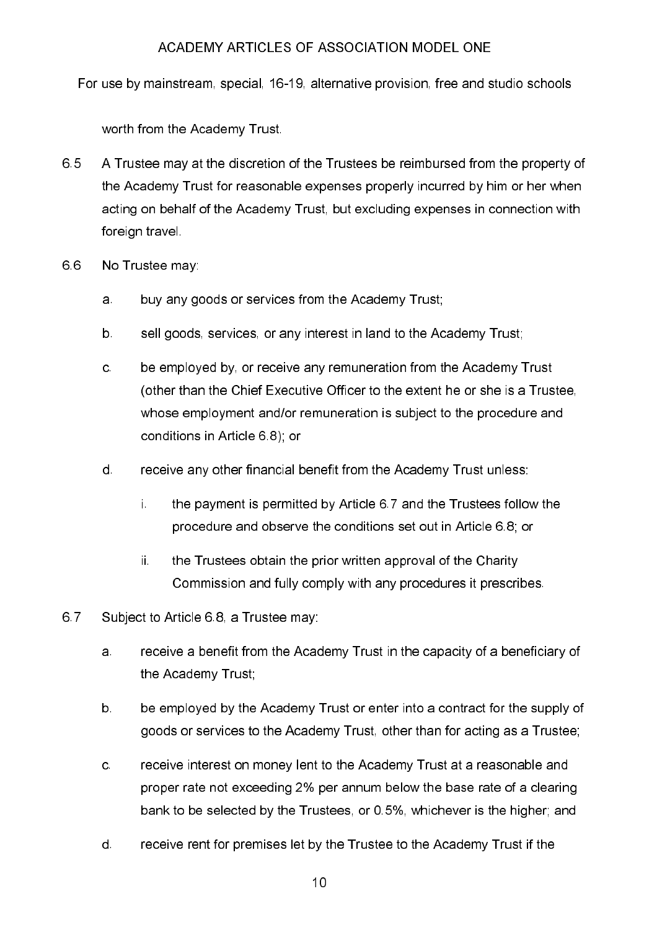For use by mainstream, special, 16-19, alternative provision, free and studio schools

worth from the Academy Trust.

- 65 A Trustee may at the discretion of the Trustees be reimbursed from the property of the Academy Trust for reasonable expenses properly incurred by him or her when acting on behalf of the Academy Trust, but excluding expenses in connection with foreign travel.
- 66 No Trustee may
	- buy any goods or services from the Academy Trust: a.
	- b. sell goods, services, or any interest in land to the Academy Trust;
	- $\mathbf{C}$ be employed by, or receive any remuneration from the Academy Trust (other than the Chief Executive Officer to the extent he or she is a Trustee, whose employment and/or remuneration is subject to the procedure and conditions in Article 6.8); or
	- d. receive any other financial benefit from the Academy Trust unless:
		- i. the payment is permitted by Article 6.7 and the Trustees follow the procedure and observe the conditions set out in Article 6.8; or
		- ii. the Trustees obtain the prior written approval of the Charity Commission and fully comply with any procedures it prescribes.
- 67 Subject to Article 6.8, a Trustee may:
	- receive a benefit from the Academy Trust in the capacity of a beneficiary of a. the Academy Trust:
	- $b<sub>1</sub>$ be emploved by the Academy Trust or enter into a contract for the supply of goods or services to the Academy Trust, other than for acting as a Trustee;
	- receive interest on money lent to the Academy Trust at a reasonable and  $\mathbf{C}$ proper rate not exceeding 2% per annum below the base rate of a clearing bank to be selected by the Trustees, or 0.5%, whichever is the higher; and
	- $\mathsf{d}$ . receive rent for premises let by the Trustee to the Academy Trust if the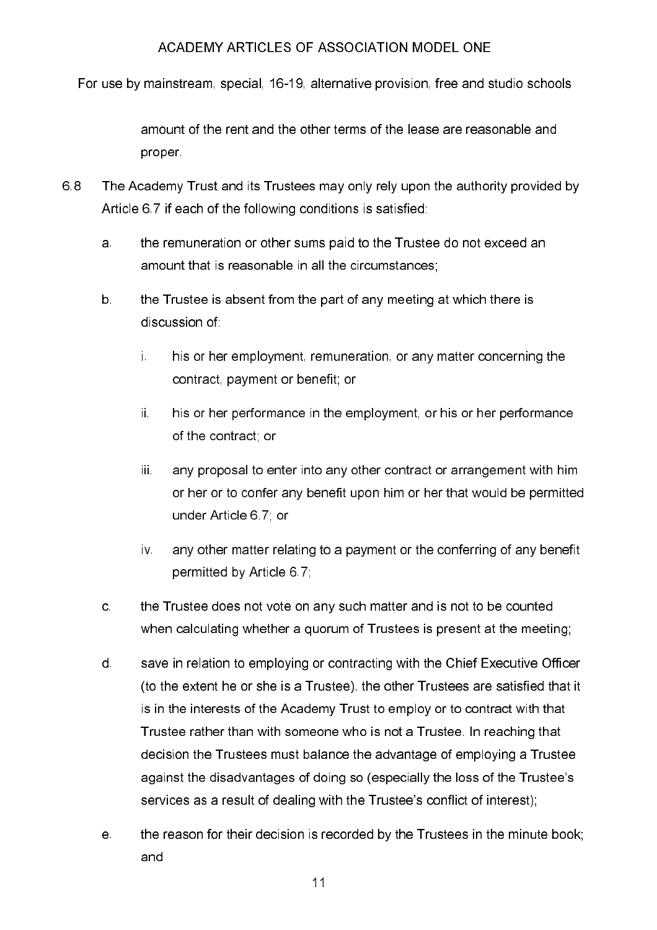For use by mainstream, special, 16-19, alternative provision, free and studio schools

amount of the rent and the other terms of the lease are reasonable and proper

- 68 The Academy Trust and its Trustees may only rely upon the authority provided by Article 6.7 if each of the following conditions is satisfied.
	- the remuneration or other sums paid to the Trustee do not exceed an a. amount that is reasonable in all the circumstances;
	- $b$ the Trustee is absent from the part of any meeting at which there is discussion of
		- i. his or her employment, remuneration, or any matter concerning the contract, payment or benefit; or
		- his or her performance in the employment, or his or her performance ii. of the contract; or
		- iii. any proposal to enter into any other contract or arrangement with him or her or to confer any benefit upon him or her that would be permitted under Article 6.7; or
		- iv. any other matter relating to a payment or the conferring of any benefit permitted by Article 6.7;
	- the Trustee does not vote on any such matter and is not to be counted  $\mathbf{C}$ when calculating whether a quorum of Trustees is present at the meeting;
	- $\mathsf{d}$ save in relation to employing or contracting with the Chief Executive Officer (to the extent he or she is a Trustee), the other Trustees are satisfied that it is in the interests of the Academy Trust to employ or to contract with that Trustee rather than with someone who is not a Trustee. In reaching that decision the Trustees must balance the advantage of employing a Trustee against the disadvantages of doing so (especially the loss of the Trustee's services as a result of dealing with the Trustee's conflict of interest);
	- the reason for their decision is recorded by the Trustees in the minute book;  $e<sub>1</sub>$ and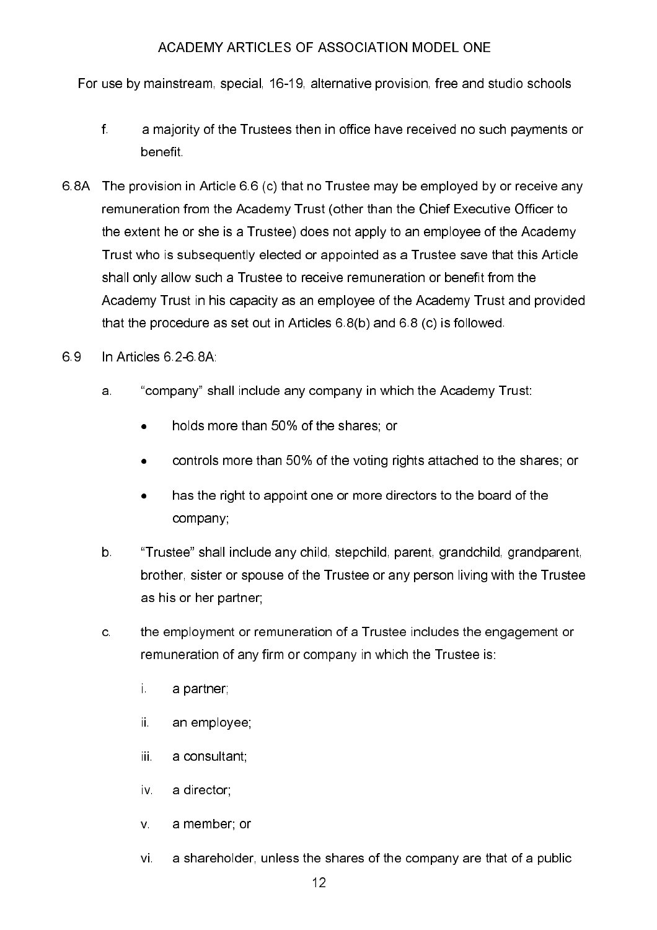For use by mainstream, special, 16-19, alternative provision, free and studio schools

- $f_{\perp}$ a majority of the Trustees then in office have received no such payments or benefit.
- 6.8A The provision in Article 6.6 (c) that no Trustee may be employed by or receive any remuneration from the Academy Trust (other than the Chief Executive Officer to the extent he or she is a Trustee) does not apply to an employee of the Academy Trust who is subsequently elected or appointed as a Trustee save that this Article shall only allow such a Trustee to receive remuneration or benefit from the Academy Trust in his capacity as an employee of the Academy Trust and provided that the procedure as set out in Articles 6.8(b) and 6.8 (c) is followed.
- 69 In Articles 6.2-6.8A.
	- "company" shall include any company in which the Academy Trust: a.
		- holds more than 50% of the shares; or
		- controls more than 50% of the voting rights attached to the shares; or  $\bullet$
		- has the right to appoint one or more directors to the board of the  $\bullet$ company;
	- $b$ "Trustee" shall include any child, stepchild, parent, grandchild, grandparent, brother, sister or spouse of the Trustee or any person living with the Trustee as his or her partner;
	- $\mathbf{c}$ the employment or remuneration of a Trustee includes the engagement or remuneration of any firm or company in which the Trustee is:
		- i. a partner:
		- ii. an employee.
		- iii. a consultant:
		- $\mathsf{W}$ a director
		- $V_{\perp}$ a member or
		- a shareholder, unless the shares of the company are that of a public  $Vi$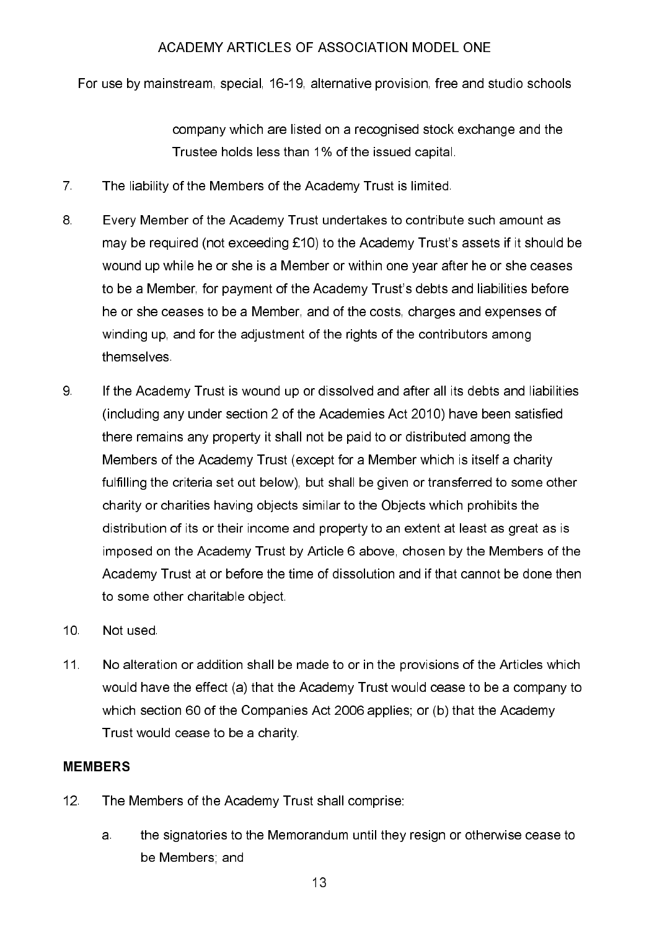For use by mainstream, special, 16-19, alternative provision, free and studio schools

company which are listed on a recognised stock exchange and the Trustee holds less than 1% of the issued capital.

- $7<sup>1</sup>$ The liability of the Members of the Academy Trust is limited.
- 8 Every Member of the Academy Trust undertakes to contribute such amount as may be required (not exceeding £10) to the Academy Trust's assets if it should be wound up while he or she is a Member or within one year after he or she ceases to be a Member, for payment of the Academy Trust's debts and liabilities before he or she ceases to be a Member, and of the costs, charges and expenses of winding up, and for the adjustment of the rights of the contributors among themselves
- 9 If the Academy Trust is wound up or dissolved and after all its debts and liabilities (including any under section 2 of the Academies Act 2010) have been satisfied there remains any property it shall not be paid to or distributed among the Members of the Academy Trust (except for a Member which is itself a charity fulfilling the criteria set out below), but shall be given or transferred to some other charity or charities having objects similar to the Objects which prohibits the distribution of its or their income and property to an extent at least as great as is imposed on the Academy Trust by Article 6 above, chosen by the Members of the Academy Trust at or before the time of dissolution and if that cannot be done then to some other charitable object.
- $10<sub>1</sub>$ Not used.
- $11<sub>1</sub>$ No alteration or addition shall be made to or in the provisions of the Articles which would have the effect (a) that the Academy Trust would cease to be a company to which section 60 of the Companies Act 2006 applies; or (b) that the Academy Trust would cease to be a charity.

# **MEMBERS**

- $12<sup>1</sup>$ The Members of the Academy Trust shall comprise:
	- the signatories to the Memorandum until they resign or otherwise cease to a. be Members, and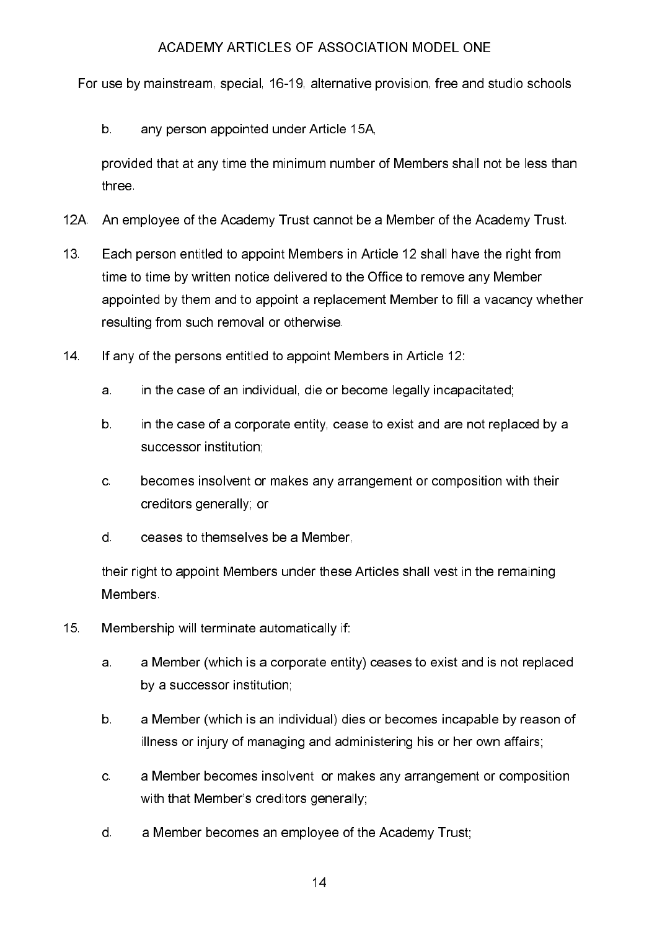For use by mainstream, special, 16-19, alternative provision, free and studio schools

 $b$ any person appointed under Article 15A.

provided that at any time the minimum number of Members shall not be less than three.

- $12A$ An employee of the Academy Trust cannot be a Member of the Academy Trust.
- $13<sub>1</sub>$ Each person entitled to appoint Members in Article 12 shall have the right from time to time by written notice delivered to the Office to remove any Member appointed by them and to appoint a replacement Member to fill a vacancy whether resulting from such removal or otherwise.
- If anv of the persons entitled to appoint Members in Article 12:  $14<sup>1</sup>$ 
	- a. in the case of an individual, die or become legally incapacitated;
	- $b$ . in the case of a corporate entity, cease to exist and are not replaced by a successor institution.
	- $\mathbf{c}$ . becomes insolvent or makes any arrangement or composition with their creditors generally; or
	- $\mathsf{d}$ . ceases to themselves be a Member,

their right to appoint Members under these Articles shall vest in the remaining **Members** 

- $15<sub>1</sub>$ Membership will terminate automatically if:
	- a Member (which is a corporate entity) ceases to exist and is not replaced a. by a successor institution;
	- $b<sub>1</sub>$ a Member (which is an individual) dies or becomes incapable by reason of illness or injury of managing and administering his or her own affairs;
	- $\mathbf{C}$ a Member becomes insolvent or makes any arrangement or composition with that Member's creditors generally;
	- $\mathsf{d}$ . a Member becomes an emplovee of the Academy Trust: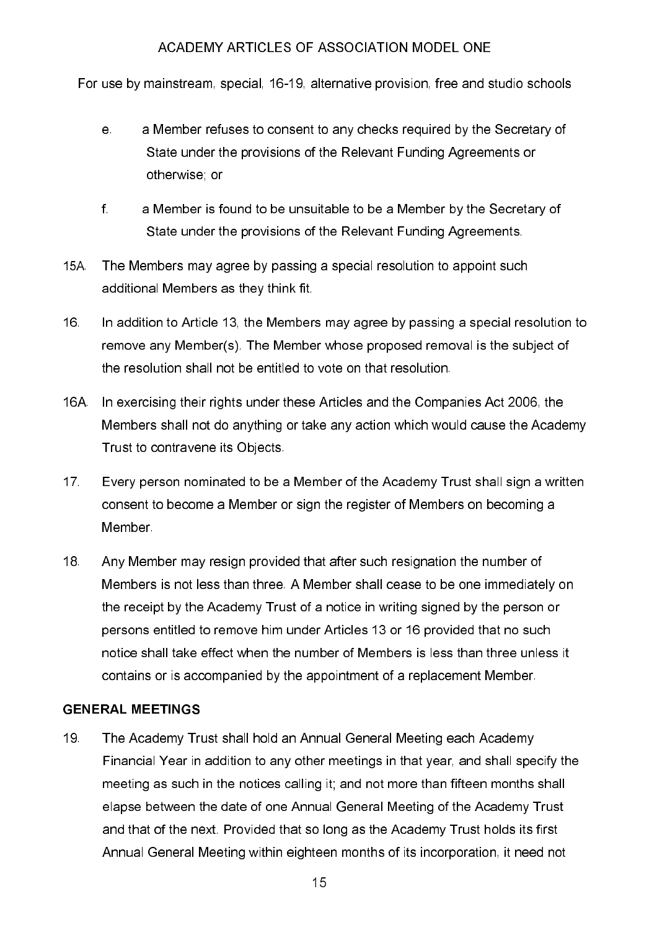For use by mainstream, special, 16-19, alternative provision, free and studio schools

- a Member refuses to consent to any checks required by the Secretary of  $e<sub>1</sub>$ State under the provisions of the Relevant Funding Agreements or otherwise; or
- $f$ a Member is found to be unsuitable to be a Member by the Secretary of State under the provisions of the Relevant Funding Agreements.
- **15A** The Members may agree by passing a special resolution to appoint such additional Members as they think fit.
- 16 In addition to Article 13, the Members may agree by passing a special resolution to remove any Member(s). The Member whose proposed removal is the subject of the resolution shall not be entitled to vote on that resolution.
- 16A. In exercising their rights under these Articles and the Companies Act 2006, the Members shall not do anything or take any action which would cause the Academy Trust to contravene its Objects
- $17<sup>2</sup>$ Every person nominated to be a Member of the Academy Trust shall sign a written consent to become a Member or sign the register of Members on becoming a Member
- $18<sup>1</sup>$ Any Member may resign provided that after such resignation the number of Members is not less than three. A Member shall cease to be one immediately on the receipt by the Academy Trust of a notice in writing signed by the person or persons entitled to remove him under Articles 13 or 16 provided that no such notice shall take effect when the number of Members is less than three unless it contains or is accompanied by the appointment of a replacement Member.

# **GENERAL MEETINGS**

19 The Academy Trust shall hold an Annual General Meeting each Academy Financial Year in addition to any other meetings in that year, and shall specify the meeting as such in the notices calling it; and not more than fifteen months shall elapse between the date of one Annual General Meeting of the Academy Trust and that of the next. Provided that so long as the Academy Trust holds its first Annual General Meeting within eighteen months of its incorporation, it need not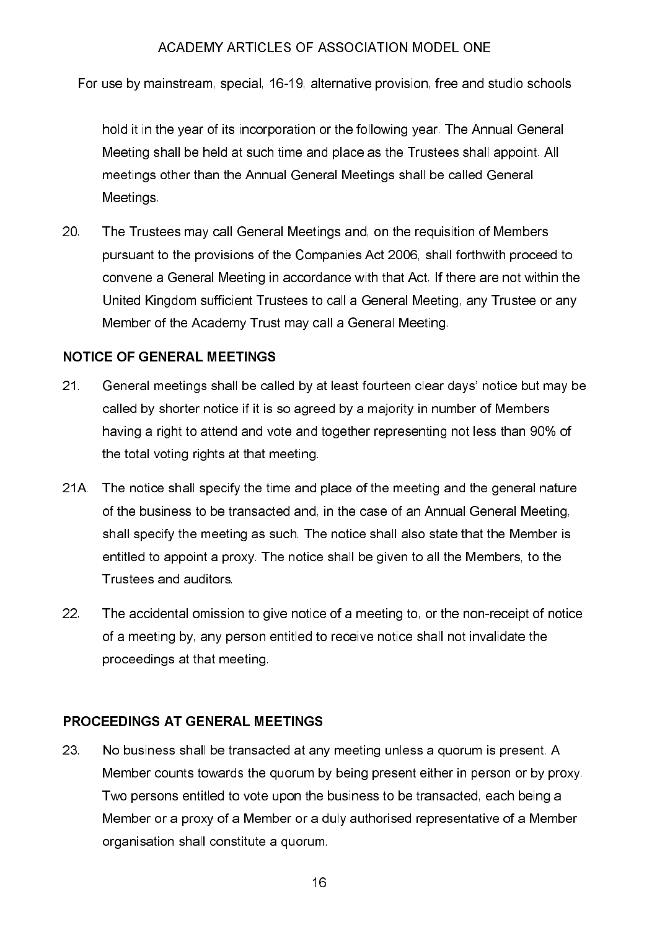For use by mainstream, special, 16-19, alternative provision, free and studio schools

hold it in the vear of its incorporation or the following vear. The Annual General Meeting shall be held at such time and place as the Trustees shall appoint. All meetings other than the Annual General Meetings shall be called General **Meetings** 

 $20<sub>1</sub>$ The Trustees may call General Meetings and, on the requisition of Members pursuant to the provisions of the Companies Act 2006, shall forthwith proceed to convene a General Meeting in accordance with that Act. If there are not within the United Kingdom sufficient Trustees to call a General Meeting, any Trustee or any Member of the Academy Trust may call a General Meeting.

# **NOTICE OF GENERAL MEETINGS**

- $21<sub>1</sub>$ General meetings shall be called by at least fourteen clear days' notice but may be called by shorter notice if it is so agreed by a majority in number of Members having a right to attend and vote and together representing not less than 90% of the total voting rights at that meeting.
- $21A$ The notice shall specify the time and place of the meeting and the general nature of the business to be transacted and, in the case of an Annual General Meeting, shall specify the meeting as such. The notice shall also state that the Member is entitled to appoint a proxy. The notice shall be given to all the Members, to the Trustees and auditors
- 22 The accidental omission to give notice of a meeting to, or the non-receipt of notice of a meeting by, any person entitled to receive notice shall not invalidate the proceedings at that meeting.

#### PROCFFDINGS AT GENFRAI MFFTINGS

23 No business shall be transacted at any meeting unless a quorum is present. A Member counts towards the quorum by being present either in person or by proxy. Two persons entitled to vote upon the business to be transacted, each being a Member or a proxy of a Member or a duly authorised representative of a Member organisation shall constitute a quorum.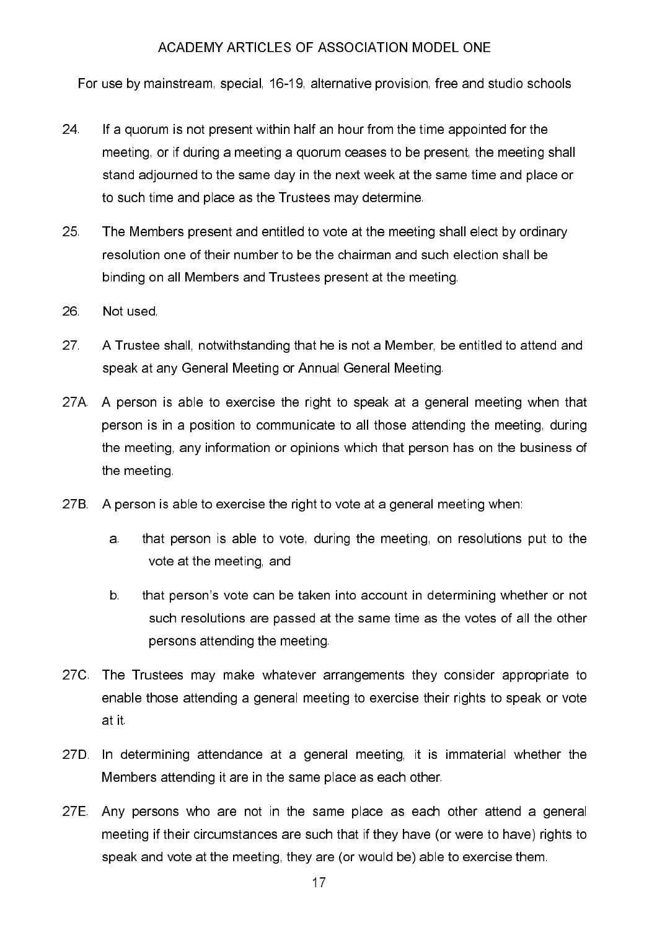For use by mainstream, special, 16-19, alternative provision, free and studio schools

- 24 If a quorum is not present within half an hour from the time appointed for the meeting, or if during a meeting a guorum ceases to be present, the meeting shall stand adjourned to the same day in the next week at the same time and place or to such time and place as the Trustees may determine.
- 25 The Members present and entitled to vote at the meeting shall elect by ordinary resolution one of their number to be the chairman and such election shall be binding on all Members and Trustees present at the meeting.
- Not used. 26
- 27 A Trustee shall, notwithstanding that he is not a Member, be entitled to attend and speak at any General Meeting or Annual General Meeting.
- 27A. A person is able to exercise the right to speak at a general meeting when that person is in a position to communicate to all those attending the meeting, during the meeting, any information or opinions which that person has on the business of the meeting.
- 27B. A person is able to exercise the right to vote at a general meeting when:
	- a. that person is able to vote, during the meeting, on resolutions put to the vote at the meeting, and
	- $b$ that person's vote can be taken into account in determining whether or not such resolutions are passed at the same time as the votes of all the other persons attending the meeting.
- 27C. The Trustees may make whatever arrangements they consider appropriate to enable those attending a general meeting to exercise their rights to speak or vote at it
- 27D. In determining attendance at a general meeting, it is immaterial whether the Members attending it are in the same place as each other.
- 27E. Any persons who are not in the same place as each other attend a general meeting if their circumstances are such that if they have (or were to have) rights to speak and vote at the meeting, they are (or would be) able to exercise them.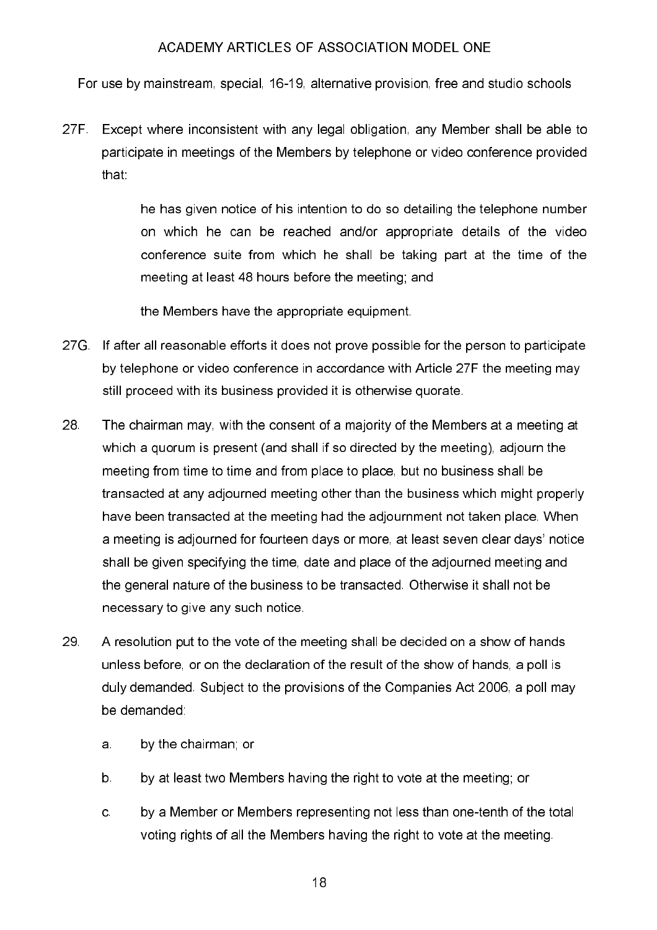For use by mainstream, special, 16-19, alternative provision, free and studio schools

 $27F$ Except where inconsistent with any legal obligation, any Member shall be able to participate in meetings of the Members by telephone or video conference provided that:

> he has given notice of his intention to do so detailing the telephone number on which he can be reached and/or appropriate details of the video conference suite from which he shall be taking part at the time of the meeting at least 48 hours before the meeting; and

the Members have the appropriate equipment.

- $27G$ If after all reasonable efforts it does not prove possible for the person to participate by telephone or video conference in accordance with Article 27F the meeting may still proceed with its business provided it is otherwise quorate.
- 28 The chairman may, with the consent of a majority of the Members at a meeting at which a quorum is present (and shall if so directed by the meeting), adjourn the meeting from time to time and from place to place, but no business shall be transacted at any adjourned meeting other than the business which might properly have been transacted at the meeting had the adjournment not taken place. When a meeting is adiourned for fourteen days or more, at least seven clear days' notice shall be given specifying the time, date and place of the adiourned meeting and the general nature of the business to be transacted. Otherwise it shall not be necessary to give any such notice
- 29 A resolution put to the vote of the meeting shall be decided on a show of hands unless before, or on the declaration of the result of the show of hands, a poll is duly demanded. Subject to the provisions of the Companies Act 2006, a poll may be demanded
	- by the chairman; or a.
	- $b$ by at least two Members having the right to vote at the meeting; or
	- by a Member or Members representing not less than one-tenth of the total  $\mathbf{C}$ voting rights of all the Members having the right to vote at the meeting.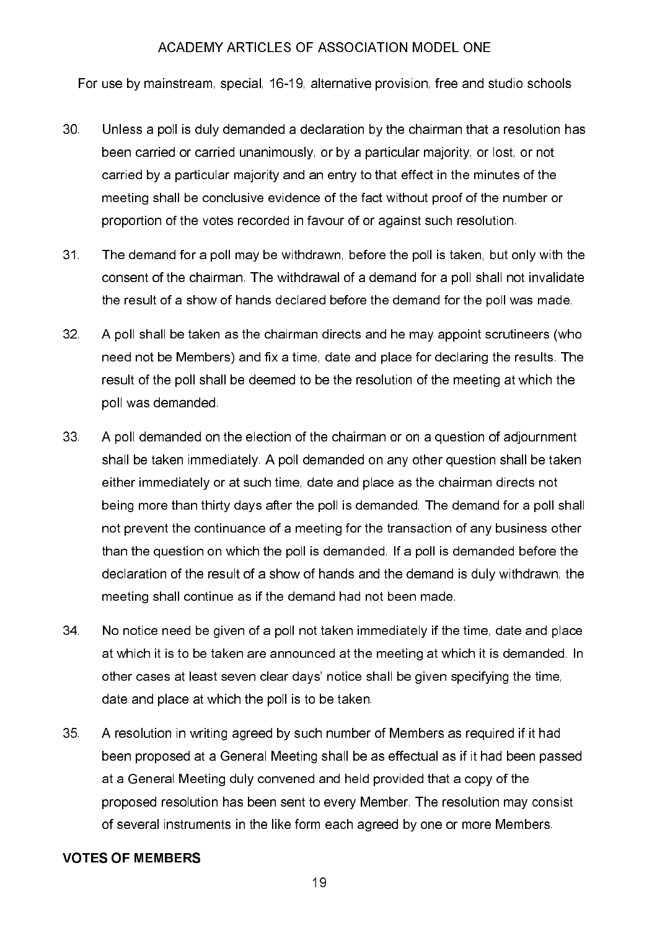For use by mainstream, special, 16-19, alternative provision, free and studio schools

- $30<sub>1</sub>$ Unless a poll is duly demanded a declaration by the chairman that a resolution has been carried or carried unanimously, or by a particular majority, or lost, or not carried by a particular majority and an entry to that effect in the minutes of the meeting shall be conclusive evidence of the fact without proof of the number or proportion of the votes recorded in favour of or against such resolution.
- $31<sub>1</sub>$ The demand for a poll may be withdrawn, before the poll is taken, but only with the consent of the chairman. The withdrawal of a demand for a poll shall not invalidate the result of a show of hands declared before the demand for the poll was made.
- $32<sup>2</sup>$ A poll shall be taken as the chairman directs and he may appoint scrutineers (who need not be Members) and fix a time, date and place for declaring the results. The result of the poll shall be deemed to be the resolution of the meeting at which the poll was demanded.
- 33 A poll demanded on the election of the chairman or on a question of adjournment shall be taken immediately. A poll demanded on any other question shall be taken either immediately or at such time, date and place as the chairman directs not being more than thirty days after the poll is demanded. The demand for a poll shall not prevent the continuance of a meeting for the transaction of any business other than the question on which the poll is demanded. If a poll is demanded before the declaration of the result of a show of hands and the demand is duly withdrawn, the meeting shall continue as if the demand had not been made.
- 34 No notice need be given of a poll not taken immediately if the time, date and place at which it is to be taken are announced at the meeting at which it is demanded. In other cases at least seven clear days' notice shall be given specifying the time. date and place at which the poll is to be taken.
- 35 A resolution in writing agreed by such number of Members as required if it had been proposed at a General Meeting shall be as effectual as if it had been passed at a General Meeting duly convened and held provided that a copy of the proposed resolution has been sent to every Member. The resolution may consist of several instruments in the like form each agreed by one or more Members.

#### **VOTES OF MEMBERS**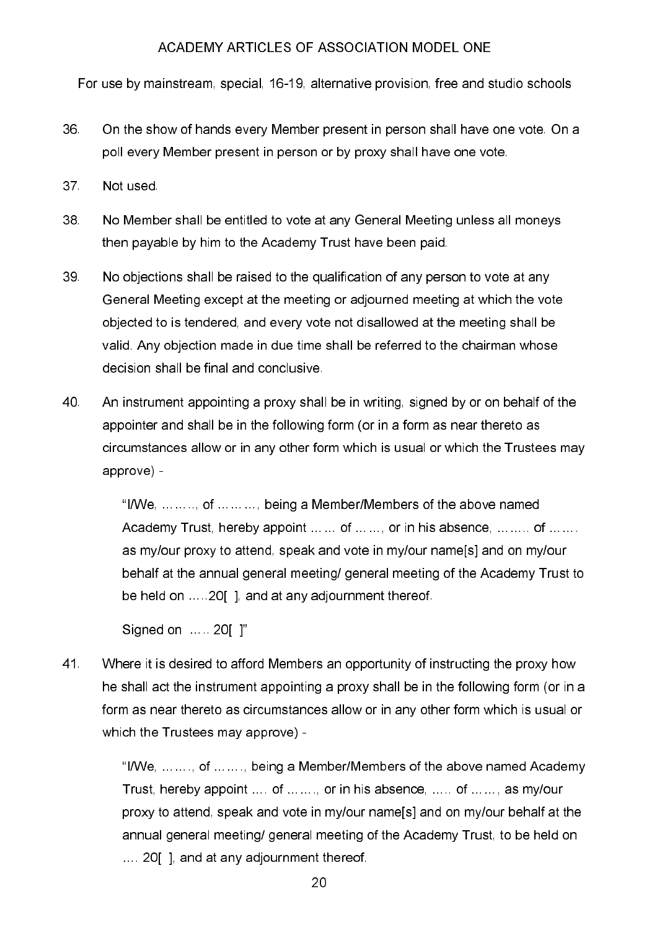For use by mainstream, special, 16-19, alternative provision, free and studio schools

- 36 On the show of hands every Member present in person shall have one vote. On a poll every Member present in person or by proxy shall have one vote.
- $37<sup>2</sup>$ Not used.
- 38 No Member shall be entitled to vote at any General Meeting unless all moneys then pavable by him to the Academy Trust have been paid.
- 39 No objections shall be raised to the qualification of any person to vote at any General Meeting except at the meeting or adjourned meeting at which the vote objected to is tendered, and every vote not disallowed at the meeting shall be valid. Any objection made in due time shall be referred to the chairman whose decision shall be final and conclusive.
- 40 An instrument appointing a proxy shall be in writing, signed by or on behalf of the appointer and shall be in the following form (or in a form as near thereto as circumstances allow or in any other form which is usual or which the Trustees may approve) -

"I/We. ... ... .., of ... ... ..., being a Member/Members of the above named Academy Trust, hereby appoint ... ... of ... ... or in his absence, ... ... ... of ... ... as my/our proxy to attend, speak and vote in my/our name[s] and on my/our behalf at the annual general meeting/ general meeting of the Academy Trust to be held on .....20[], and at any adjournment thereof.

Signed on ... . 20[ ]"

41. Where it is desired to afford Members an opportunity of instructing the proxy how he shall act the instrument appointing a proxy shall be in the following form (or in a form as near thereto as circumstances allow or in any other form which is usual or which the Trustees may approve) -

> "I/We, ... ..., of ... ..., being a Member/Members of the above named Academy Trust, hereby appoint ... of ... ... or in his absence, ... of ... ..., as my/our proxy to attend, speak and vote in my/our name[s] and on my/our behalf at the annual general meeting/ general meeting of the Academy Trust, to be held on .... 20[], and at any adjournment thereof.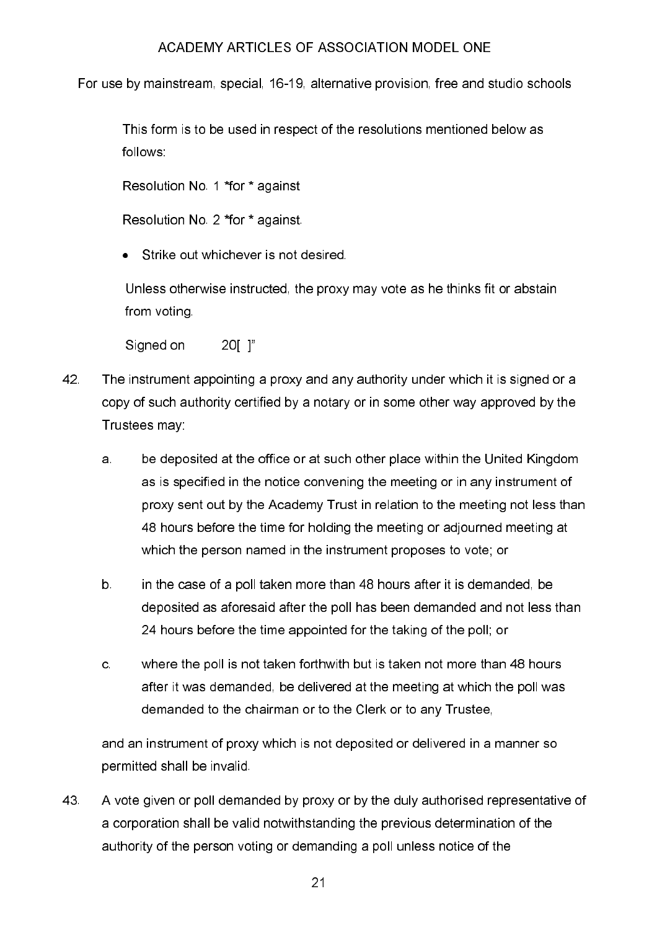For use by mainstream, special, 16-19, alternative provision, free and studio schools

This form is to be used in respect of the resolutions mentioned below as follows:

Resolution No. 1 \*for \* against

Resolution No. 2 \*for \* against.

• Strike out whichever is not desired.

Unless otherwise instructed, the proxy may vote as he thinks fit or abstain from voting

Signed on  $20$ [ ]"

- 42 The instrument appointing a proxy and any authority under which it is signed or a copy of such authority certified by a notary or in some other way approved by the Trustees may:
	- be deposited at the office or at such other place within the United Kingdom  $a<sub>1</sub>$ as is specified in the notice convening the meeting or in any instrument of proxy sent out by the Academy Trust in relation to the meeting not less than 48 hours before the time for holding the meeting or adjourned meeting at which the person named in the instrument proposes to vote; or
	- in the case of a poll taken more than 48 hours after it is demanded, be  $b<sub>1</sub>$ deposited as aforesaid after the poll has been demanded and not less than 24 hours before the time appointed for the taking of the poll; or
	- where the poll is not taken forthwith but is taken not more than 48 hours C. after it was demanded, be delivered at the meeting at which the poll was demanded to the chairman or to the Clerk or to any Trustee.

and an instrument of proxy which is not deposited or delivered in a manner so permitted shall be invalid.

43 A vote given or poll demanded by proxy or by the duly authorised representative of a corporation shall be valid notwithstanding the previous determination of the authority of the person voting or demanding a poll unless notice of the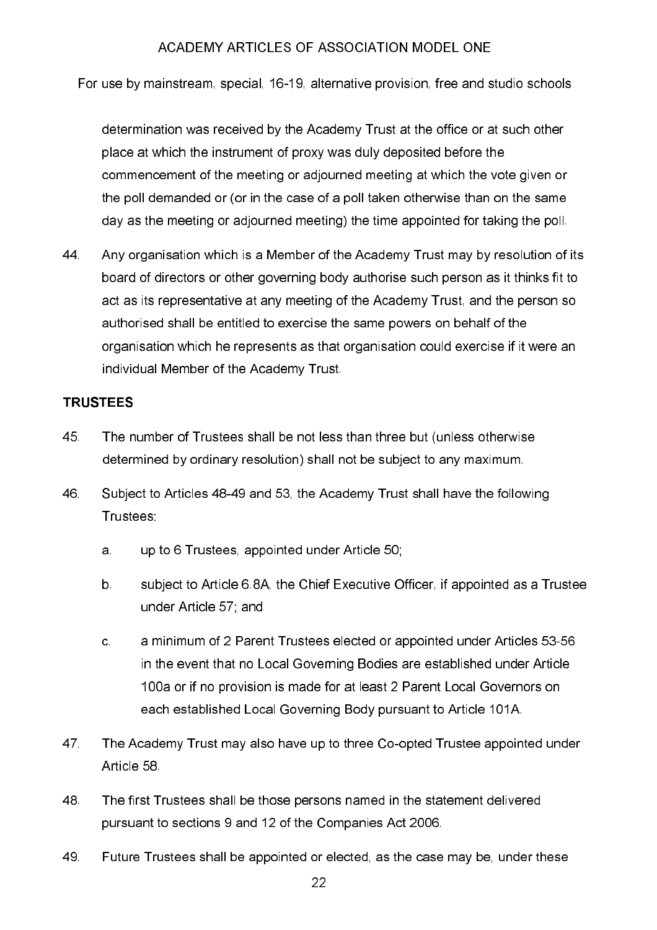For use by mainstream, special, 16-19, alternative provision, free and studio schools

determination was received by the Academy Trust at the office or at such other place at which the instrument of proxy was duly deposited before the commencement of the meeting or adjourned meeting at which the vote given or the poll demanded or (or in the case of a poll taken otherwise than on the same day as the meeting or adjourned meeting) the time appointed for taking the poll.

44 Any organisation which is a Member of the Academy Trust may by resolution of its board of directors or other governing body authorise such person as it thinks fit to act as its representative at any meeting of the Academy Trust, and the person so authorised shall be entitled to exercise the same powers on behalf of the organisation which he represents as that organisation could exercise if it were an individual Member of the Academy Trust.

# **TRUSTEES**

- 45 The number of Trustees shall be not less than three but (unless otherwise determined by ordinary resolution) shall not be subject to any maximum.
- 46 Subject to Articles 48-49 and 53, the Academy Trust shall have the following Trustees:
	- up to 6 Trustees, appointed under Article 50; a.
	- $b$ . subject to Article 6.8A, the Chief Executive Officer, if appointed as a Trustee under Article 57; and
	- a minimum of 2 Parent Trustees elected or appointed under Articles 53-56  $\mathbf{c}$ in the event that no Local Governing Bodies are established under Article 100a or if no provision is made for at least 2 Parent Local Governors on each established Local Governing Body pursuant to Article 101A.
- 47 The Academy Trust may also have up to three Co-opted Trustee appointed under Article 58
- 48 The first Trustees shall be those persons named in the statement delivered pursuant to sections 9 and 12 of the Companies Act 2006.
- 49 Future Trustees shall be appointed or elected, as the case may be, under these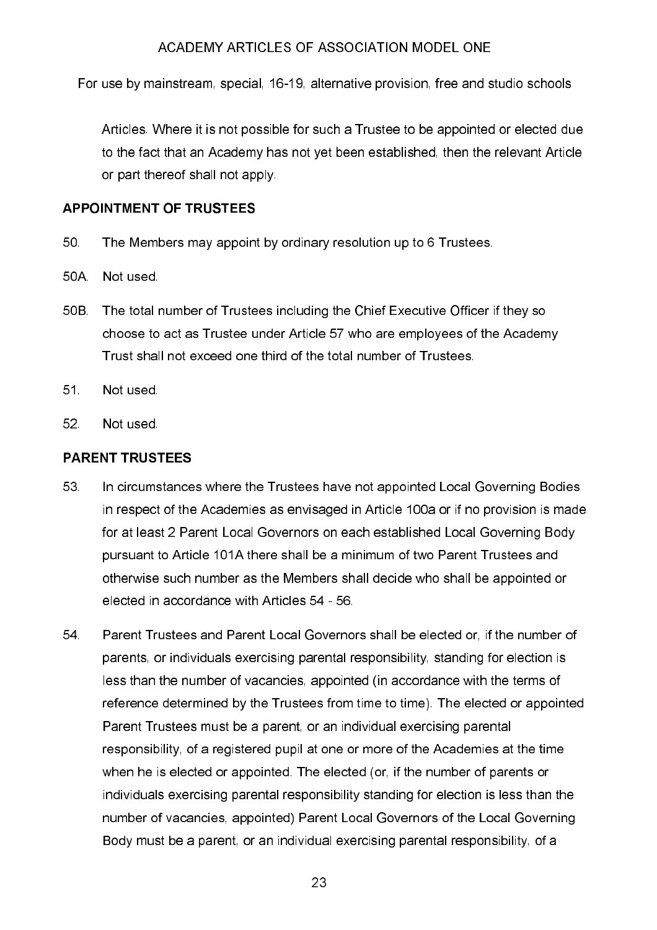For use by mainstream, special, 16-19, alternative provision, free and studio schools

Articles. Where it is not possible for such a Trustee to be appointed or elected due to the fact that an Academy has not yet been established, then the relevant Article or part thereof shall not apply.

#### **APPOINTMENT OF TRUSTEES**

- 50 The Members may appoint by ordinary resolution up to 6 Trustees.
- 50A Not used
- 50B The total number of Trustees including the Chief Executive Officer if they so choose to act as Trustee under Article 57 who are employees of the Academy Trust shall not exceed one third of the total number of Trustees.
- $51<sub>1</sub>$ Not used
- 52. Not used.

### **PARENT TRUSTEES**

- 53. In circumstances where the Trustees have not appointed Local Governing Bodies in respect of the Academies as envisaged in Article 100a or if no provision is made for at least 2 Parent Local Governors on each established Local Governing Body pursuant to Article 101A there shall be a minimum of two Parent Trustees and otherwise such number as the Members shall decide who shall be appointed or elected in accordance with Articles 54 - 56
- 54 Parent Trustees and Parent Local Governors shall be elected or, if the number of parents, or individuals exercising parental responsibility, standing for election is less than the number of vacancies, appointed (in accordance with the terms of reference determined by the Trustees from time to time). The elected or appointed Parent Trustees must be a parent, or an individual exercising parental responsibility, of a registered pupil at one or more of the Academies at the time when he is elected or appointed. The elected (or, if the number of parents or individuals exercising parental responsibility standing for election is less than the number of vacancies, appointed) Parent Local Governors of the Local Governing Body must be a parent, or an individual exercising parental responsibility, of a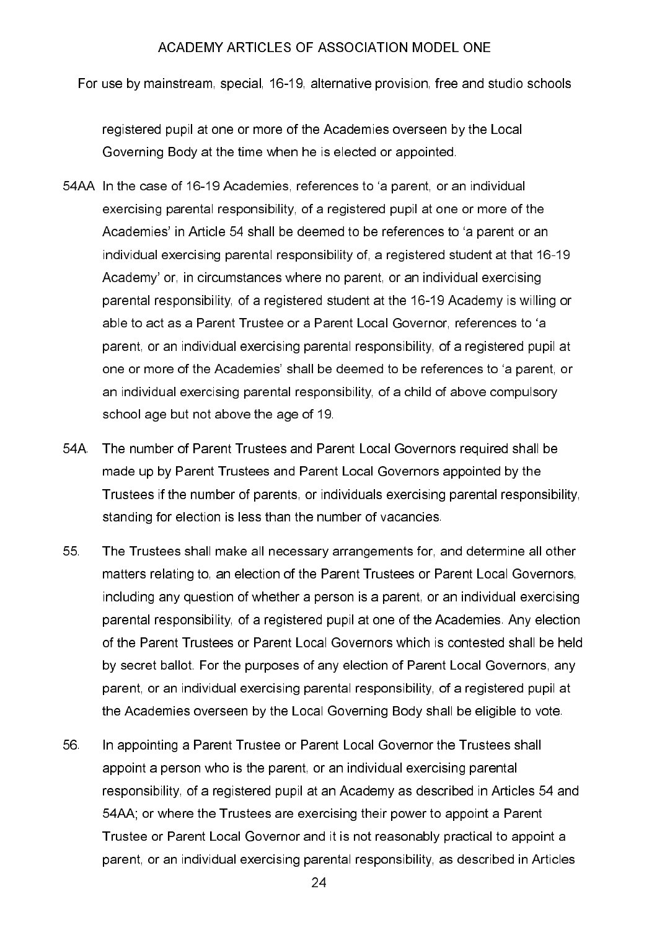For use by mainstream, special, 16-19, alternative provision, free and studio schools

registered pupil at one or more of the Academies overseen by the Local Governing Body at the time when he is elected or appointed.

- 54AA In the case of 16-19 Academies, references to 'a parent, or an individual exercising parental responsibility, of a registered pupil at one or more of the Academies' in Article 54 shall be deemed to be references to 'a parent or an individual exercising parental responsibility of, a registered student at that 16-19 Academy' or, in circumstances where no parent, or an individual exercising parental responsibility, of a registered student at the 16-19 Academy is willing or able to act as a Parent Trustee or a Parent Local Governor, references to 'a parent, or an individual exercising parental responsibility, of a registered pupil at one or more of the Academies' shall be deemed to be references to 'a parent, or an individual exercising parental responsibility, of a child of above compulsory school age but not above the age of 19.
- 54A The number of Parent Trustees and Parent Local Governors required shall be made up by Parent Trustees and Parent Local Governors appointed by the Trustees if the number of parents, or individuals exercising parental responsibility, standing for election is less than the number of vacancies.
- 55 The Trustees shall make all necessary arrangements for, and determine all other matters relating to, an election of the Parent Trustees or Parent Local Governors, including any question of whether a person is a parent, or an individual exercising parental responsibility, of a registered pupil at one of the Academies. Any election of the Parent Trustees or Parent Local Governors which is contested shall be held by secret ballot. For the purposes of any election of Parent Local Governors, any parent, or an individual exercising parental responsibility, of a registered pupil at the Academies overseen by the Local Governing Body shall be eligible to vote.
- 56 In appointing a Parent Trustee or Parent Local Governor the Trustees shall appoint a person who is the parent, or an individual exercising parental responsibility, of a registered pupil at an Academy as described in Articles 54 and 54AA; or where the Trustees are exercising their power to appoint a Parent Trustee or Parent Local Governor and it is not reasonably practical to appoint a parent, or an individual exercising parental responsibility, as described in Articles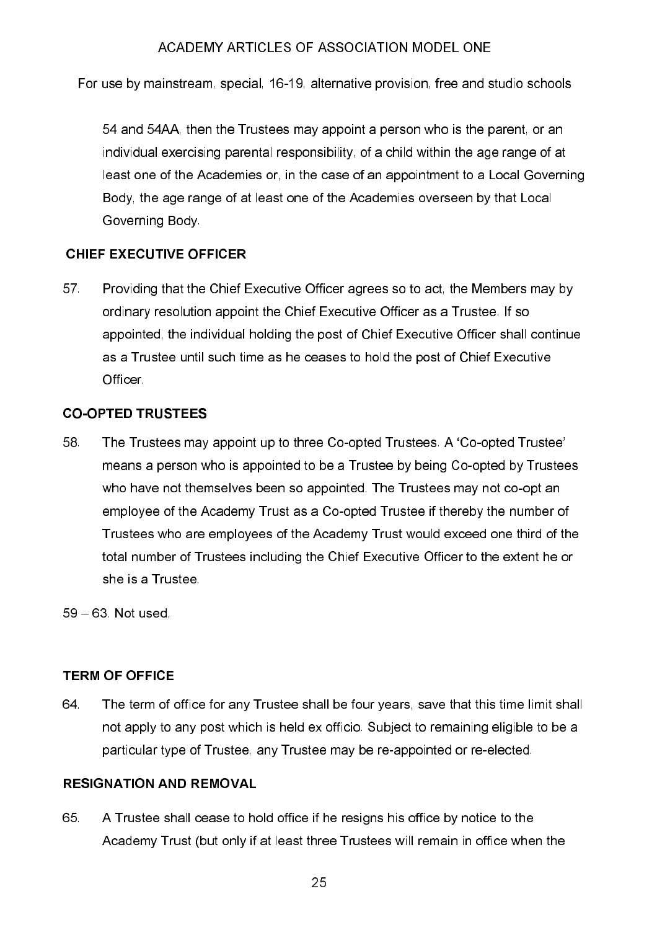For use by mainstream, special, 16-19, alternative provision, free and studio schools

54 and 54AA, then the Trustees may appoint a person who is the parent, or an individual exercising parental responsibility, of a child within the age range of at least one of the Academies or, in the case of an appointment to a Local Governing Body, the age range of at least one of the Academies overseen by that Local Governing Body

# **CHIEF EXECUTIVE OFFICER**

57 Providing that the Chief Executive Officer agrees so to act, the Members may by ordinary resolution appoint the Chief Executive Officer as a Trustee. If so appointed, the individual holding the post of Chief Executive Officer shall continue as a Trustee until such time as he ceases to hold the post of Chief Executive **Officer** 

# **CO-OPTED TRUSTEES**

The Trustees may appoint up to three Co-opted Trustees. A 'Co-opted Trustee' 58. means a person who is appointed to be a Trustee by being Co-opted by Trustees who have not themselves been so appointed. The Trustees may not co-opt an employee of the Academy Trust as a Co-opted Trustee if thereby the number of Trustees who are employees of the Academy Trust would exceed one third of the total number of Trustees including the Chief Executive Officer to the extent he or she is a Trustee

59 - 63 Not used

# **TERM OF OFFICE**

The term of office for any Trustee shall be four years, save that this time limit shall 64. not apply to any post which is held ex officio. Subject to remaining eligible to be a particular type of Trustee, any Trustee may be re-appointed or re-elected.

#### **RESIGNATION AND REMOVAL**

65 A Trustee shall cease to hold office if he resigns his office by notice to the Academy Trust (but only if at least three Trustees will remain in office when the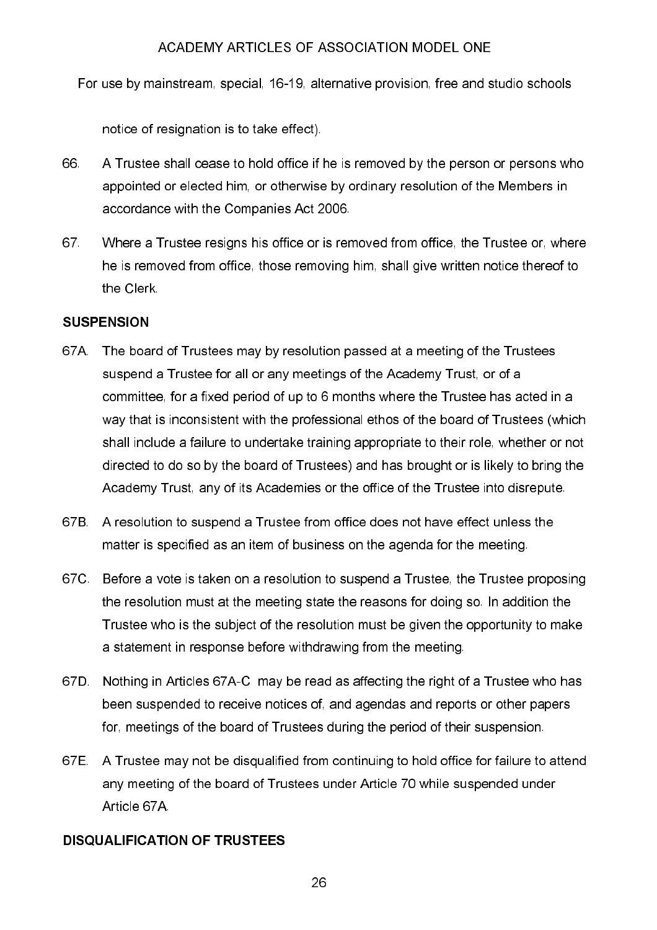For use by mainstream, special, 16-19, alternative provision, free and studio schools

notice of resignation is to take effect).

- 66 A Trustee shall cease to hold office if he is removed by the person or persons who appointed or elected him, or otherwise by ordinary resolution of the Members in accordance with the Companies Act 2006.
- 67 Where a Trustee resigns his office or is removed from office, the Trustee or, where he is removed from office, those removing him, shall give written notice thereof to the Clerk

# **SUSPENSION**

- 67A. The board of Trustees may by resolution passed at a meeting of the Trustees suspend a Trustee for all or any meetings of the Academy Trust, or of a committee, for a fixed period of up to 6 months where the Trustee has acted in a way that is inconsistent with the professional ethos of the board of Trustees (which shall include a failure to undertake training appropriate to their role, whether or not directed to do so by the board of Trustees) and has brought or is likely to bring the Academy Trust, any of its Academies or the office of the Trustee into disrepute.
- 67B. A resolution to suspend a Trustee from office does not have effect unless the matter is specified as an item of business on the agenda for the meeting.
- 67C. Before a vote is taken on a resolution to suspend a Trustee, the Trustee proposing the resolution must at the meeting state the reasons for doing so. In addition the Trustee who is the subject of the resolution must be given the opportunity to make a statement in response before withdrawing from the meeting.
- 67D. Nothing in Articles 67A-C may be read as affecting the right of a Trustee who has been suspended to receive notices of, and agendas and reports or other papers for, meetings of the board of Trustees during the period of their suspension.
- 67E. A Trustee may not be disqualified from continuing to hold office for failure to attend any meeting of the board of Trustees under Article 70 while suspended under Article 67A

# **DISQUALIFICATION OF TRUSTEES**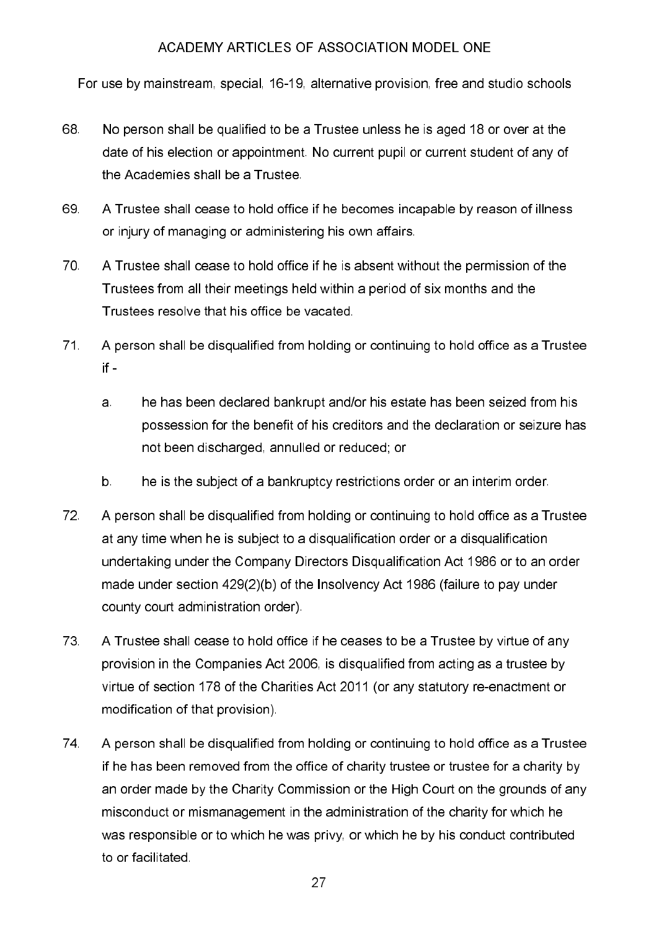For use by mainstream, special, 16-19, alternative provision, free and studio schools

- 68 No person shall be qualified to be a Trustee unless he is aged 18 or over at the date of his election or appointment. No current pupil or current student of any of the Academies shall be a Trustee
- 69 A Trustee shall cease to hold office if he becomes incapable by reason of illness or injury of managing or administering his own affairs.
- 70. A Trustee shall cease to hold office if he is absent without the permission of the Trustees from all their meetings held within a period of six months and the Trustees resolve that his office be vacated.
- $71<sub>1</sub>$ A person shall be disqualified from holding or continuing to hold office as a Trustee  $if$ 
	- a. he has been declared bankrupt and/or his estate has been seized from his possession for the benefit of his creditors and the declaration or seizure has not been discharged, annulled or reduced; or
	- $b$ he is the subject of a bankruptcy restrictions order or an interim order.
- 72 A person shall be disqualified from holding or continuing to hold office as a Trustee at any time when he is subject to a disqualification order or a disqualification undertaking under the Company Directors Disqualification Act 1986 or to an order made under section 429(2)(b) of the Insolvency Act 1986 (failure to pay under county court administration order).
- 73 A Trustee shall cease to hold office if he ceases to be a Trustee by virtue of any provision in the Companies Act 2006, is disqualified from acting as a trustee by virtue of section 178 of the Charities Act 2011 (or any statutory re-enactment or modification of that provision).
- 74 A person shall be disqualified from holding or continuing to hold office as a Trustee if he has been removed from the office of charity trustee or trustee for a charity by an order made by the Charity Commission or the High Court on the grounds of any misconduct or mismanagement in the administration of the charity for which he was responsible or to which he was privy, or which he by his conduct contributed to or facilitated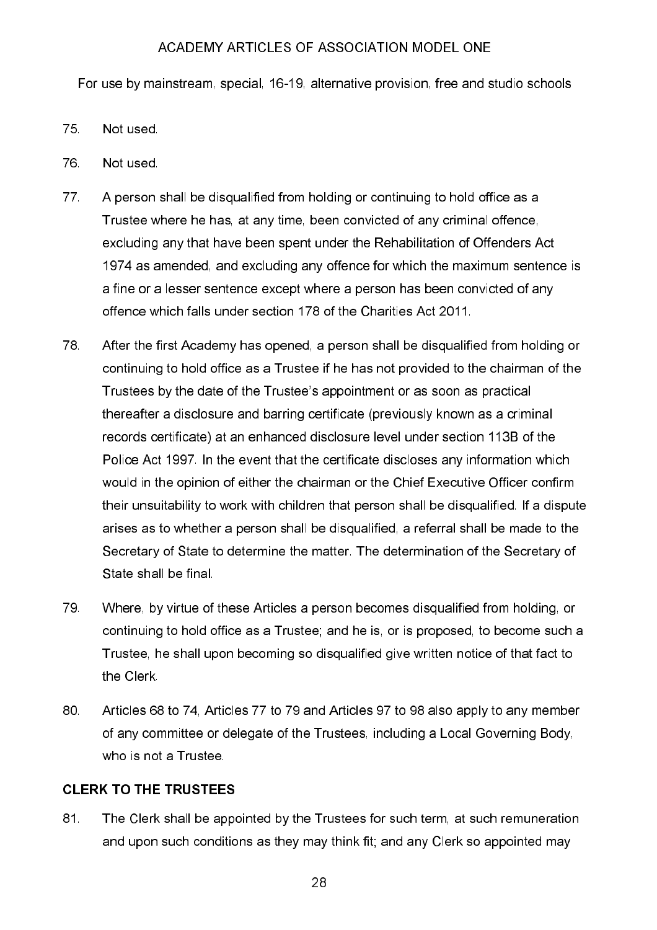For use by mainstream, special, 16-19, alternative provision, free and studio schools

- 75 Not used.
- 76 Not used.
- 77. A person shall be disqualified from holding or continuing to hold office as a Trustee where he has, at any time, been convicted of any criminal offence. excluding any that have been spent under the Rehabilitation of Offenders Act 1974 as amended, and excluding any offence for which the maximum sentence is a fine or a lesser sentence except where a person has been convicted of any offence which falls under section 178 of the Charities Act 2011.
- 78 After the first Academy has opened, a person shall be disqualified from holding or continuing to hold office as a Trustee if he has not provided to the chairman of the Trustees by the date of the Trustee's appointment or as soon as practical thereafter a disclosure and barring certificate (previously known as a criminal records certificate) at an enhanced disclosure level under section 113B of the Police Act 1997. In the event that the certificate discloses any information which would in the opinion of either the chairman or the Chief Executive Officer confirm their unsuitability to work with children that person shall be disqualified. If a dispute arises as to whether a person shall be disqualified, a referral shall be made to the Secretary of State to determine the matter. The determination of the Secretary of State shall be final.
- 79 Where, by virtue of these Articles a person becomes disqualified from holding, or continuing to hold office as a Trustee; and he is, or is proposed, to become such a Trustee, he shall upon becoming so disqualified give written notice of that fact to the Clerk
- 80. Articles 68 to 74, Articles 77 to 79 and Articles 97 to 98 also apply to any member of any committee or delegate of the Trustees, including a Local Governing Body, who is not a Trustee.

# **CLERK TO THE TRUSTEES**

81 The Clerk shall be appointed by the Trustees for such term, at such remuneration and upon such conditions as they may think fit; and any Clerk so appointed may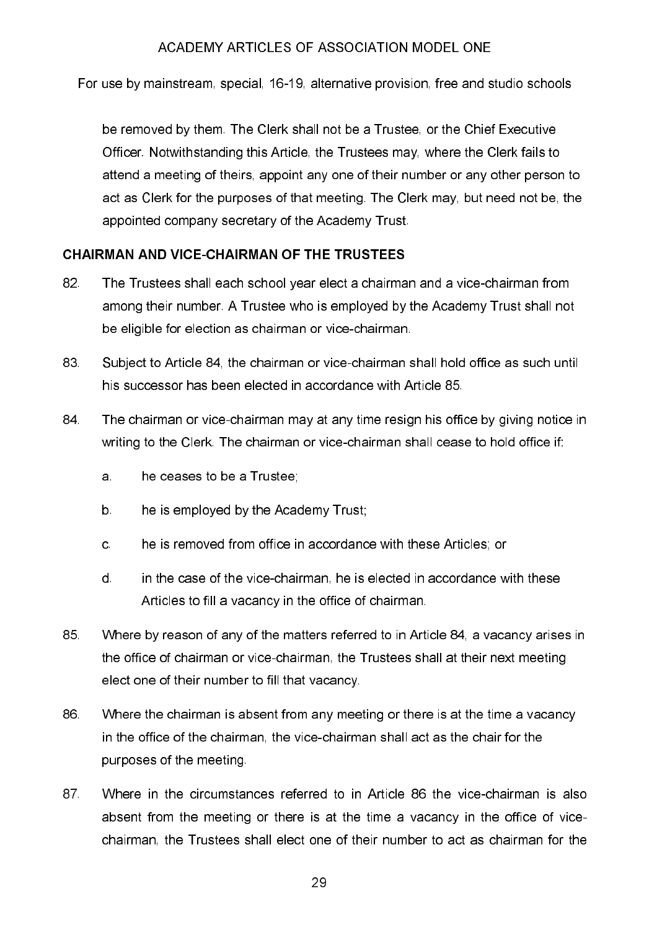For use by mainstream, special, 16-19, alternative provision, free and studio schools

be removed by them. The Clerk shall not be a Trustee, or the Chief Executive Officer. Notwithstanding this Article, the Trustees may, where the Clerk fails to attend a meeting of theirs, appoint any one of their number or any other person to act as Clerk for the purposes of that meeting. The Clerk may, but need not be, the appointed company secretary of the Academy Trust.

# **CHAIRMAN AND VICE-CHAIRMAN OF THE TRUSTEES**

- 82. The Trustees shall each school year elect a chairman and a vice-chairman from among their number. A Trustee who is employed by the Academy Trust shall not be eligible for election as chairman or vice-chairman.
- 83 Subject to Article 84, the chairman or vice-chairman shall hold office as such until his successor has been elected in accordance with Article 85.
- 84 The chairman or vice-chairman may at any time resign his office by giving notice in writing to the Clerk. The chairman or vice-chairman shall cease to hold office if:
	- a. he ceases to be a Trustee:
	- $b$ he is employed by the Academy Trust;
	- he is removed from office in accordance with these Articles; or  $\mathbf{C}$
	- $\mathsf{d}$ in the case of the vice-chairman, he is elected in accordance with these Articles to fill a vacancy in the office of chairman.
- 85 Where by reason of any of the matters referred to in Article 84, a vacancy arises in the office of chairman or vice-chairman, the Trustees shall at their next meeting elect one of their number to fill that vacancy.
- 86 Where the chairman is absent from any meeting or there is at the time a vacancy in the office of the chairman, the vice-chairman shall act as the chair for the purposes of the meeting.
- 87 Where in the circumstances referred to in Article 86 the vice-chairman is also absent from the meeting or there is at the time a vacancy in the office of vicechairman, the Trustees shall elect one of their number to act as chairman for the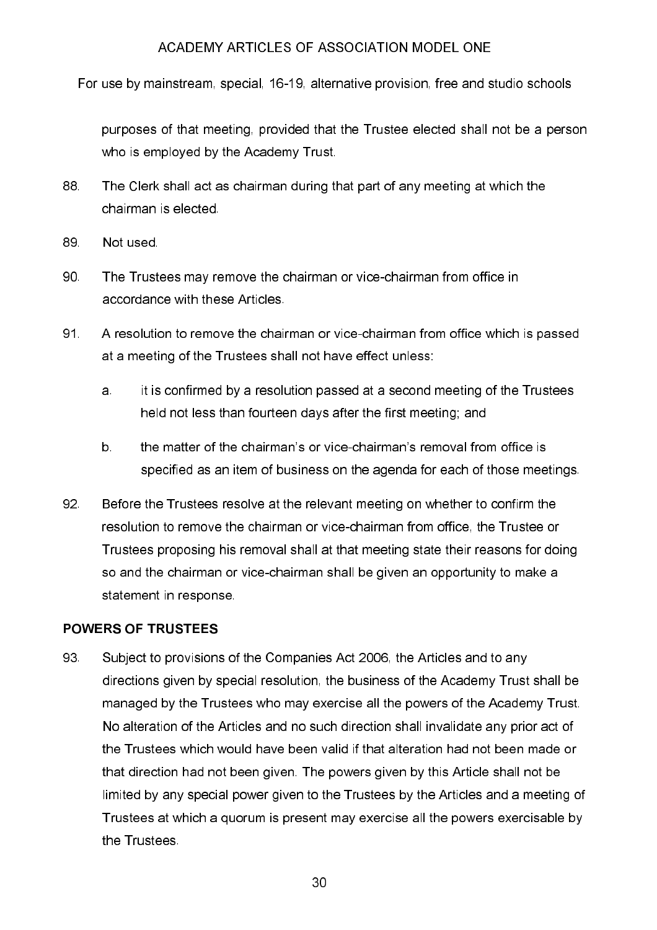For use by mainstream, special, 16-19, alternative provision, free and studio schools

purposes of that meeting, provided that the Trustee elected shall not be a person who is employed by the Academy Trust.

- 88. The Clerk shall act as chairman during that part of any meeting at which the chairman is elected.
- 89 Not used.
- 90 The Trustees may remove the chairman or vice-chairman from office in accordance with these Articles.
- 91. A resolution to remove the chairman or vice-chairman from office which is passed at a meeting of the Trustees shall not have effect unless:
	- it is confirmed by a resolution passed at a second meeting of the Trustees a. held not less than fourteen days after the first meeting; and
	- the matter of the chairman's or vice-chairman's removal from office is  $b$ specified as an item of business on the agenda for each of those meetings.
- 92. Before the Trustees resolve at the relevant meeting on whether to confirm the resolution to remove the chairman or vice-chairman from office, the Trustee or Trustees proposing his removal shall at that meeting state their reasons for doing so and the chairman or vice-chairman shall be given an opportunity to make a statement in response.

# **POWERS OF TRUSTEES**

93 Subject to provisions of the Companies Act 2006, the Articles and to any directions given by special resolution, the business of the Academy Trust shall be managed by the Trustees who may exercise all the powers of the Academy Trust. No alteration of the Articles and no such direction shall invalidate any prior act of the Trustees which would have been valid if that alteration had not been made or that direction had not been given. The powers given by this Article shall not be limited by any special power given to the Trustees by the Articles and a meeting of Trustees at which a quorum is present may exercise all the powers exercisable by the Trustees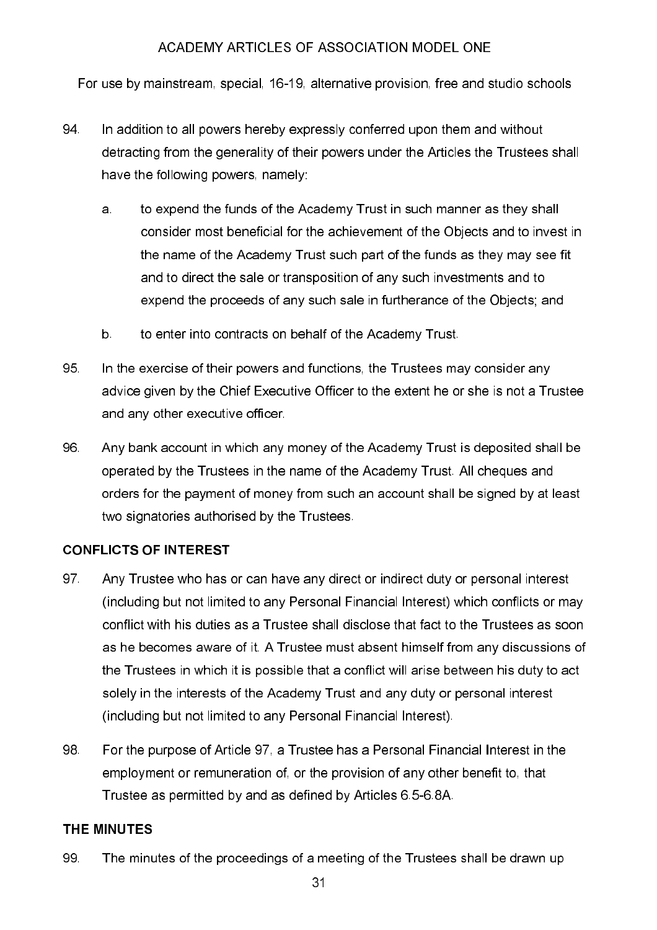For use by mainstream, special, 16-19, alternative provision, free and studio schools

- In addition to all powers hereby expressly conferred upon them and without 94 detracting from the generality of their powers under the Articles the Trustees shall have the following powers, namely:
	- to expend the funds of the Academy Trust in such manner as they shall a. consider most beneficial for the achievement of the Objects and to invest in the name of the Academy Trust such part of the funds as they may see fit and to direct the sale or transposition of any such investments and to expend the proceeds of any such sale in furtherance of the Objects; and
	- $b$ to enter into contracts on behalf of the Academy Trust.
- 95. In the exercise of their powers and functions, the Trustees may consider any advice given by the Chief Executive Officer to the extent he or she is not a Trustee and any other executive officer.
- 96. Any bank account in which any money of the Academy Trust is deposited shall be operated by the Trustees in the name of the Academy Trust. All cheques and orders for the payment of money from such an account shall be signed by at least two signatories authorised by the Trustees.

# **CONFLICTS OF INTEREST**

- 97 Any Trustee who has or can have any direct or indirect duty or personal interest (including but not limited to any Personal Financial Interest) which conflicts or may conflict with his duties as a Trustee shall disclose that fact to the Trustees as soon as he becomes aware of it. A Trustee must absent himself from any discussions of the Trustees in which it is possible that a conflict will arise between his duty to act solely in the interests of the Academy Trust and any duty or personal interest (including but not limited to any Personal Financial Interest).
- 98. For the purpose of Article 97, a Trustee has a Personal Financial Interest in the employment or remuneration of, or the provision of any other benefit to, that Trustee as permitted by and as defined by Articles 6.5-6.8A.

# THE MINUTES

99 The minutes of the proceedings of a meeting of the Trustees shall be drawn up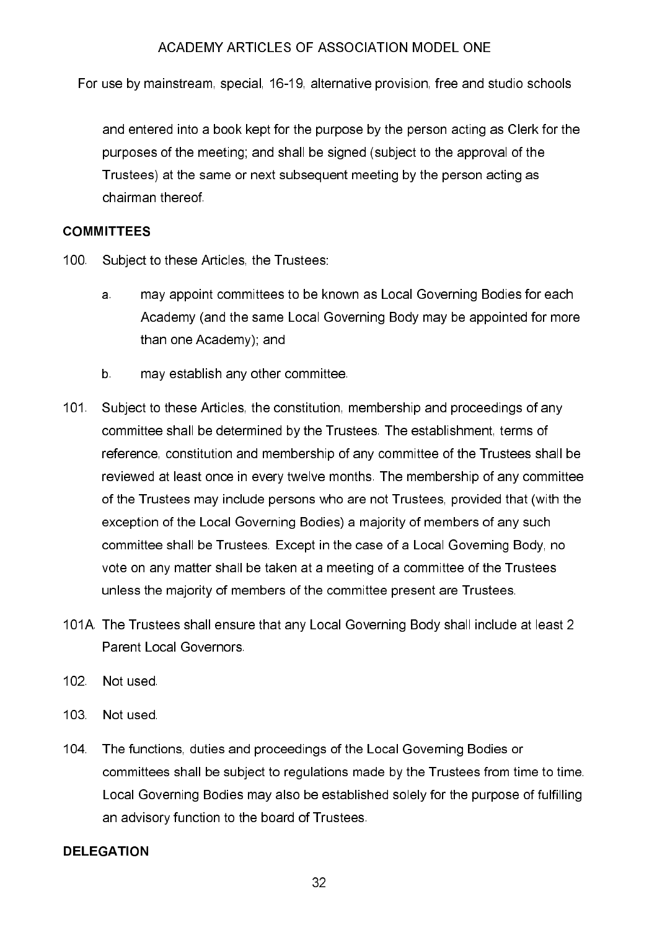For use by mainstream, special, 16-19, alternative provision, free and studio schools

and entered into a book kept for the purpose by the person acting as Clerk for the purposes of the meeting; and shall be signed (subject to the approval of the Trustees) at the same or next subsequent meeting by the person acting as chairman thereof

#### **COMMITTEES**

- $100<sub>1</sub>$ Subject to these Articles, the Trustees:
	- may appoint committees to be known as Local Governing Bodies for each a. Academy (and the same Local Governing Body may be appointed for more than one Academy); and
	- $b$ may establish any other committee.
- $101 -$ Subject to these Articles, the constitution, membership and proceedings of any committee shall be determined by the Trustees. The establishment, terms of reference, constitution and membership of any committee of the Trustees shall be reviewed at least once in every twelve months. The membership of any committee of the Trustees may include persons who are not Trustees, provided that (with the exception of the Local Governing Bodies) a majority of members of any such committee shall be Trustees. Except in the case of a Local Governing Body, no vote on any matter shall be taken at a meeting of a committee of the Trustees unless the majority of members of the committee present are Trustees.
- 101A. The Trustees shall ensure that any Local Governing Body shall include at least 2 Parent Local Governors
- $102 -$ Not used.
- 103 Not used
- $104.$ The functions, duties and proceedings of the Local Governing Bodies or committees shall be subject to regulations made by the Trustees from time to time. Local Governing Bodies may also be established solely for the purpose of fulfilling an advisory function to the board of Trustees.

#### **DELEGATION**

32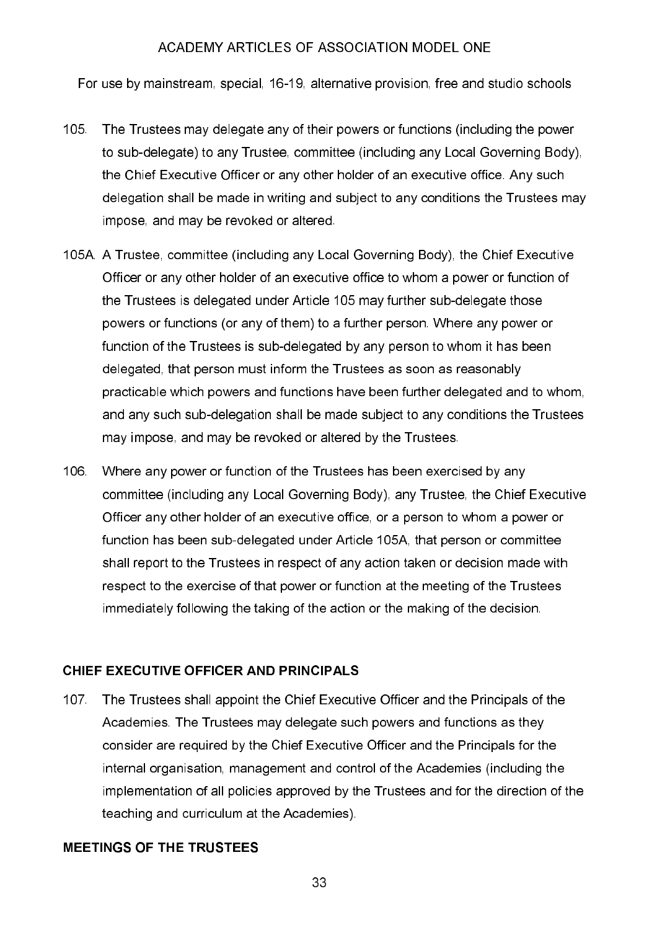For use by mainstream, special, 16-19, alternative provision, free and studio schools

- $105.$ The Trustees may delegate any of their powers or functions (including the power to sub-delegate) to any Trustee, committee (including any Local Governing Body). the Chief Executive Officer or any other holder of an executive office. Any such delegation shall be made in writing and subject to any conditions the Trustees may impose, and may be revoked or altered.
- 105A. A Trustee, committee (including any Local Governing Body), the Chief Executive Officer or any other holder of an executive office to whom a power or function of the Trustees is delegated under Article 105 may further sub-delegate those powers or functions (or any of them) to a further person. Where any power or function of the Trustees is sub-delegated by any person to whom it has been delegated, that person must inform the Trustees as soon as reasonably practicable which powers and functions have been further delegated and to whom, and any such sub-delegation shall be made subject to any conditions the Trustees may impose, and may be revoked or altered by the Trustees.
- 106 Where any power or function of the Trustees has been exercised by any committee (including any Local Governing Body), any Trustee, the Chief Executive Officer any other holder of an executive office, or a person to whom a power or function has been sub-delegated under Article 105A, that person or committee shall report to the Trustees in respect of any action taken or decision made with respect to the exercise of that power or function at the meeting of the Trustees immediately following the taking of the action or the making of the decision.

#### **CHIEF EXECUTIVE OFFICER AND PRINCIPALS**

 $107<sub>1</sub>$ The Trustees shall appoint the Chief Executive Officer and the Principals of the Academies. The Trustees may delegate such powers and functions as they consider are required by the Chief Executive Officer and the Principals for the internal organisation, management and control of the Academies (including the implementation of all policies approved by the Trustees and for the direction of the teaching and curriculum at the Academies).

# **MEETINGS OF THE TRUSTEES**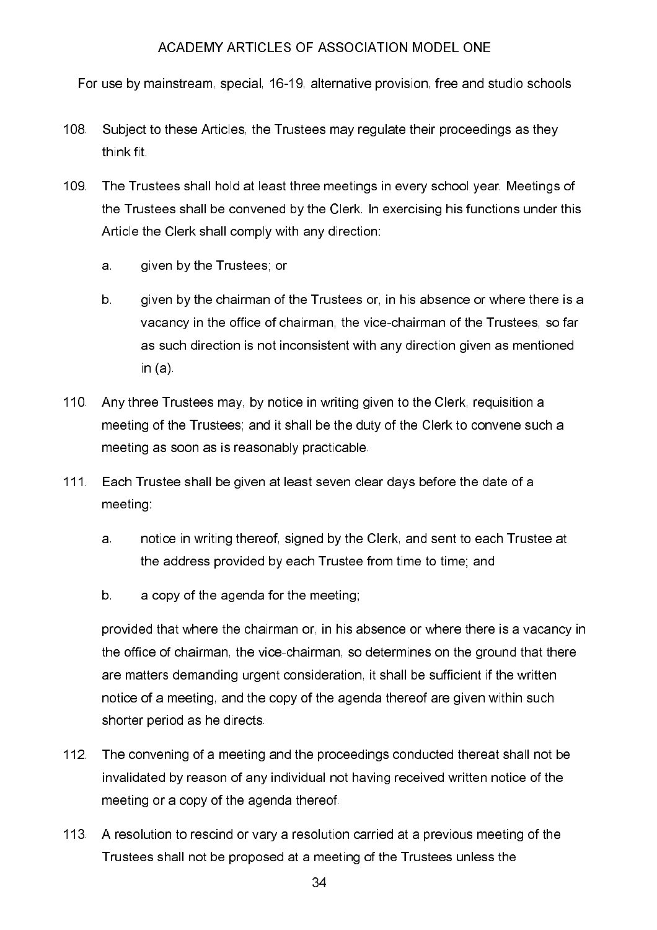For use by mainstream, special, 16-19, alternative provision, free and studio schools

- 108 Subject to these Articles, the Trustees may regulate their proceedings as they think fit
- 109. The Trustees shall hold at least three meetings in every school year. Meetings of the Trustees shall be convened by the Clerk. In exercising his functions under this Article the Clerk shall comply with any direction:
	- a. given by the Trustees; or
	- $b$ . given by the chairman of the Trustees or, in his absence or where there is a vacancy in the office of chairman, the vice-chairman of the Trustees, so far as such direction is not inconsistent with any direction given as mentioned in  $(a)$
- $110<sub>1</sub>$ Any three Trustees may, by notice in writing given to the Clerk, requisition a meeting of the Trustees; and it shall be the duty of the Clerk to convene such a meeting as soon as is reasonably practicable.
- $111.$ Each Trustee shall be given at least seven clear days before the date of a meeting
	- a. notice in writing thereof, signed by the Clerk, and sent to each Trustee at the address provided by each Trustee from time to time; and
	- $b$ a copy of the agenda for the meeting;

provided that where the chairman or, in his absence or where there is a vacancy in the office of chairman, the vice-chairman, so determines on the ground that there are matters demanding urgent consideration, it shall be sufficient if the written notice of a meeting, and the copy of the agenda thereof are given within such shorter period as he directs.

- $112<sub>1</sub>$ The convening of a meeting and the proceedings conducted thereat shall not be invalidated by reason of any individual not having received written notice of the meeting or a copy of the agenda thereof.
- 113. A resolution to rescind or vary a resolution carried at a previous meeting of the Trustees shall not be proposed at a meeting of the Trustees unless the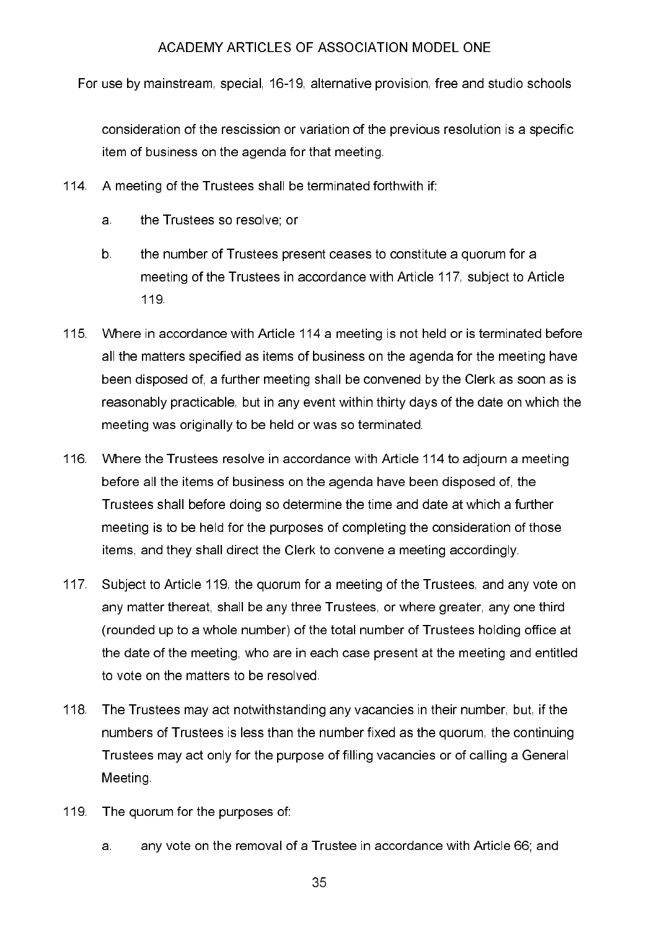For use by mainstream, special, 16-19, alternative provision, free and studio schools

consideration of the rescission or variation of the previous resolution is a specific item of business on the agenda for that meeting.

- $114$ A meeting of the Trustees shall be terminated forthwith if:
	- the Trustees so resolve; or a.
	- $b$ . the number of Trustees present ceases to constitute a quorum for a meeting of the Trustees in accordance with Article 117, subject to Article 119
- 115. Where in accordance with Article 114 a meeting is not held or is terminated before all the matters specified as items of business on the agenda for the meeting have been disposed of, a further meeting shall be convened by the Clerk as soon as is reasonably practicable, but in any event within thirty days of the date on which the meeting was originally to be held or was so terminated.
- 116. Where the Trustees resolve in accordance with Article 114 to adjourn a meeting before all the items of business on the agenda have been disposed of, the Trustees shall before doing so determine the time and date at which a further meeting is to be held for the purposes of completing the consideration of those items, and they shall direct the Clerk to convene a meeting accordingly.
- $117 -$ Subject to Article 119, the quorum for a meeting of the Trustees, and any vote on any matter thereat, shall be any three Trustees, or where greater, any one third (rounded up to a whole number) of the total number of Trustees holding office at the date of the meeting, who are in each case present at the meeting and entitled to vote on the matters to be resolved.
- 118 The Trustees may act notwithstanding any vacancies in their number, but, if the numbers of Trustees is less than the number fixed as the quorum, the continuing Trustees may act only for the purpose of filling vacancies or of calling a General Meeting.
- 119 The quorum for the purposes of:
	- any vote on the removal of a Trustee in accordance with Article 66; and  $\mathbf{a}$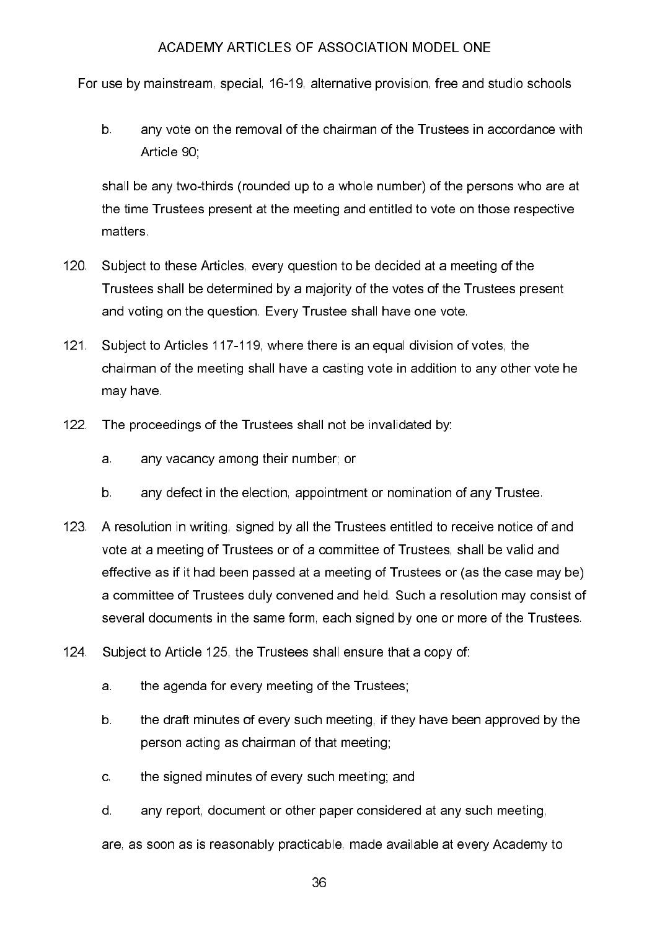For use by mainstream, special, 16-19, alternative provision, free and studio schools

 $b$ any vote on the removal of the chairman of the Trustees in accordance with Article 90:

shall be any two-thirds (rounded up to a whole number) of the persons who are at the time Trustees present at the meeting and entitled to vote on those respective matters.

- $120$ Subject to these Articles, every question to be decided at a meeting of the Trustees shall be determined by a majority of the votes of the Trustees present and voting on the question. Every Trustee shall have one vote.
- $121 -$ Subject to Articles 117-119, where there is an equal division of votes, the chairman of the meeting shall have a casting vote in addition to any other vote he may have
- $122$ The proceedings of the Trustees shall not be invalidated by:
	- a. any vacancy among their number; or
	- $b$ . any defect in the election, appointment or nomination of any Trustee.
- $123$ A resolution in writing, signed by all the Trustees entitled to receive notice of and vote at a meeting of Trustees or of a committee of Trustees, shall be valid and effective as if it had been passed at a meeting of Trustees or (as the case may be) a committee of Trustees duly convened and held. Such a resolution may consist of several documents in the same form, each signed by one or more of the Trustees.
- $124$ Subject to Article 125, the Trustees shall ensure that a copy of:
	- $\overline{a}$ the agenda for every meeting of the Trustees.
	- $b$ the draft minutes of every such meeting, if they have been approved by the person acting as chairman of that meeting;
	- the signed minutes of every such meeting; and  $\mathbf{C}$
	- d. any report, document or other paper considered at any such meeting,

are, as soon as is reasonably practicable, made available at every Academy to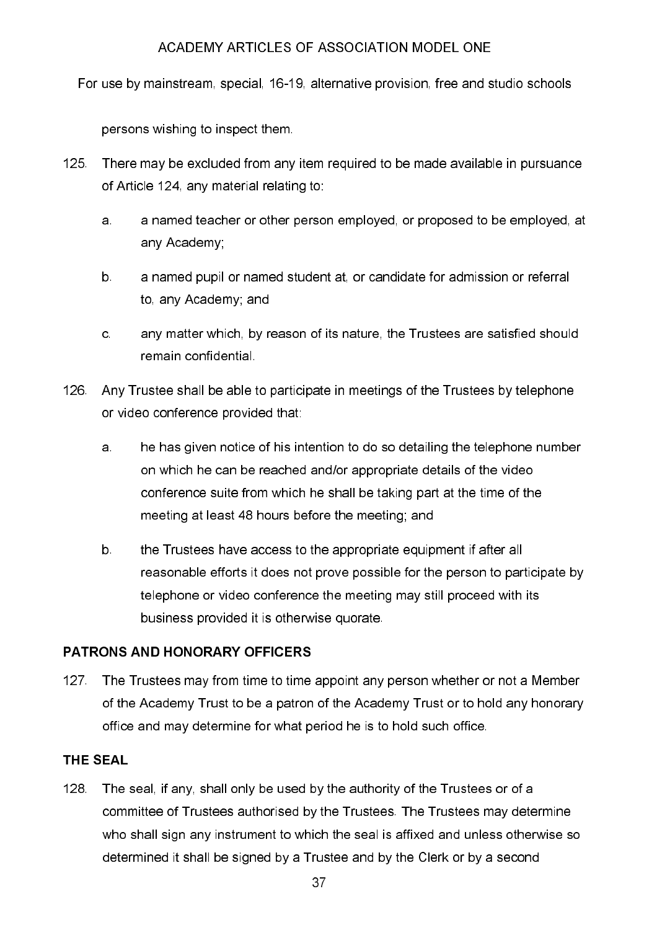For use by mainstream, special, 16-19, alternative provision, free and studio schools

persons wishing to inspect them.

- 125. There may be excluded from any item required to be made available in pursuance of Article 124, any material relating to:
	- a named teacher or other person employed, or proposed to be employed, at  $a<sub>1</sub>$ any Academy:
	- a named pupil or named student at, or candidate for admission or referral  $b$ to any Academy; and
	- $\mathbf{c}$ any matter which, by reason of its nature, the Trustees are satisfied should remain confidential.
- Any Trustee shall be able to participate in meetings of the Trustees by telephone 126. . . or video conference provided that:
	- he has given notice of his intention to do so detailing the telephone number a. on which he can be reached and/or appropriate details of the video conference suite from which he shall be taking part at the time of the meeting at least 48 hours before the meeting; and
	- $b$ . the Trustees have access to the appropriate equipment if after all reasonable efforts it does not prove possible for the person to participate by telephone or video conference the meeting may still proceed with its business provided it is otherwise quorate.

# PATRONS AND HONORARY OFFICERS

The Trustees may from time to time appoint any person whether or not a Member  $127$ of the Academy Trust to be a patron of the Academy Trust or to hold any honorary office and may determine for what period he is to hold such office.

# **THE SEAL**

The seal, if any, shall only be used by the authority of the Trustees or of a 128. . . committee of Trustees authorised by the Trustees. The Trustees may determine who shall sign any instrument to which the seal is affixed and unless otherwise so determined it shall be signed by a Trustee and by the Clerk or by a second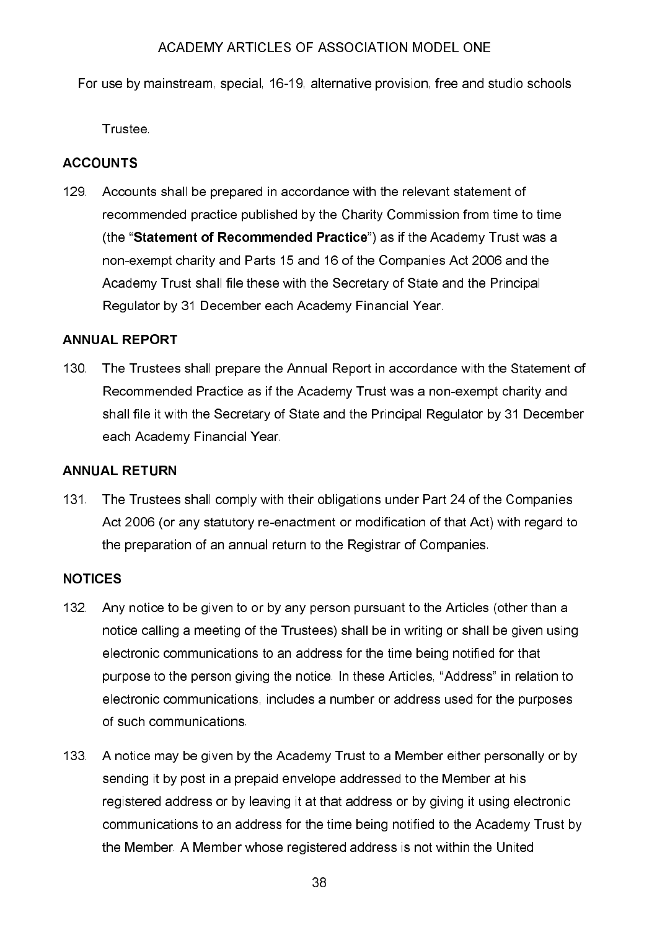For use by mainstream, special, 16-19, alternative provision, free and studio schools

Trustee.

# **ACCOUNTS**

129. Accounts shall be prepared in accordance with the relevant statement of recommended practice published by the Charity Commission from time to time (the "Statement of Recommended Practice") as if the Academy Trust was a non-exempt charity and Parts 15 and 16 of the Companies Act 2006 and the Academy Trust shall file these with the Secretary of State and the Principal Regulator by 31 December each Academy Financial Year.

# **ANNUAL REPORT**

 $130<sub>1</sub>$ The Trustees shall prepare the Annual Report in accordance with the Statement of Recommended Practice as if the Academy Trust was a non-exempt charity and shall file it with the Secretary of State and the Principal Regulator by 31 December each Academy Financial Year.

# **ANNUAL RETURN**

The Trustees shall comply with their obligations under Part 24 of the Companies  $131 -$ Act 2006 (or any statutory re-enactment or modification of that Act) with regard to the preparation of an annual return to the Registrar of Companies.

# **NOTICES**

- 132 Any notice to be given to or by any person pursuant to the Articles (other than a notice calling a meeting of the Trustees) shall be in writing or shall be given using electronic communications to an address for the time being notified for that purpose to the person giving the notice. In these Articles, "Address" in relation to electronic communications, includes a number or address used for the purposes of such communications.
- 133. A notice may be given by the Academy Trust to a Member either personally or by sending it by post in a prepaid envelope addressed to the Member at his registered address or by leaving it at that address or by giving it using electronic communications to an address for the time being notified to the Academy Trust by the Member. A Member whose registered address is not within the United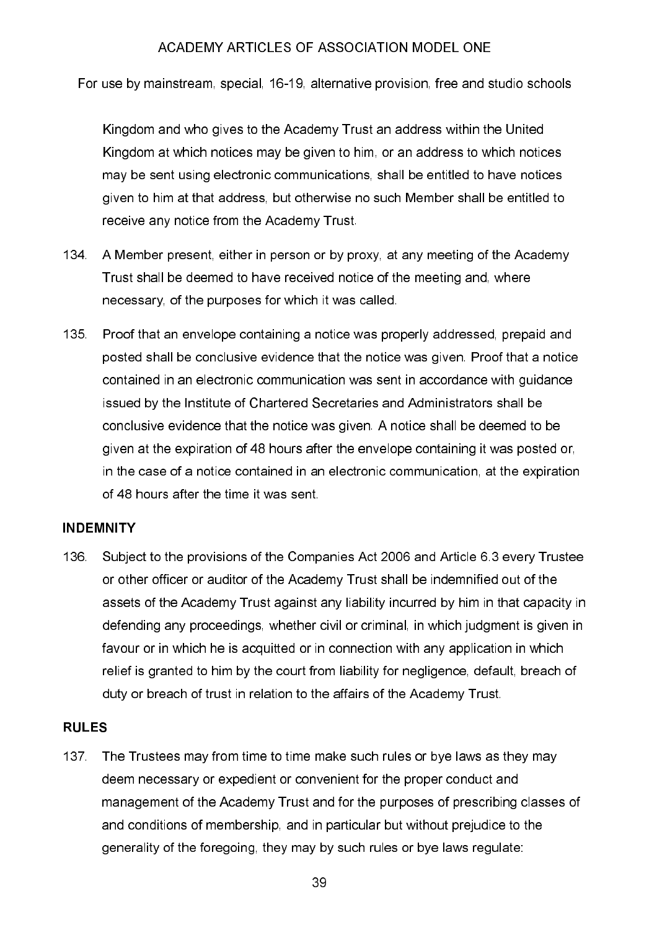For use by mainstream, special, 16-19, alternative provision, free and studio schools

Kingdom and who gives to the Academy Trust an address within the United Kingdom at which notices may be given to him, or an address to which notices may be sent using electronic communications, shall be entitled to have notices given to him at that address, but otherwise no such Member shall be entitled to receive any notice from the Academy Trust.

- 134. A Member present, either in person or by proxy, at any meeting of the Academy Trust shall be deemed to have received notice of the meeting and, where necessary, of the purposes for which it was called.
- 135. Proof that an envelope containing a notice was properly addressed, prepaid and posted shall be conclusive evidence that the notice was given. Proof that a notice contained in an electronic communication was sent in accordance with guidance issued by the Institute of Chartered Secretaries and Administrators shall be conclusive evidence that the notice was given. A notice shall be deemed to be given at the expiration of 48 hours after the envelope containing it was posted or, in the case of a notice contained in an electronic communication, at the expiration of 48 hours after the time it was sent.

# **INDEMNITY**

136 Subject to the provisions of the Companies Act 2006 and Article 6.3 every Trustee or other officer or auditor of the Academy Trust shall be indemnified out of the assets of the Academy Trust against any liability incurred by him in that capacity in defending any proceedings, whether civil or criminal, in which judgment is given in favour or in which he is acquitted or in connection with any application in which relief is granted to him by the court from liability for negligence, default, breach of duty or breach of trust in relation to the affairs of the Academy Trust.

#### **RULES**

137 The Trustees may from time to time make such rules or bye laws as they may deem necessary or expedient or convenient for the proper conduct and management of the Academy Trust and for the purposes of prescribing classes of and conditions of membership, and in particular but without prejudice to the generality of the foregoing, they may by such rules or bye laws regulate: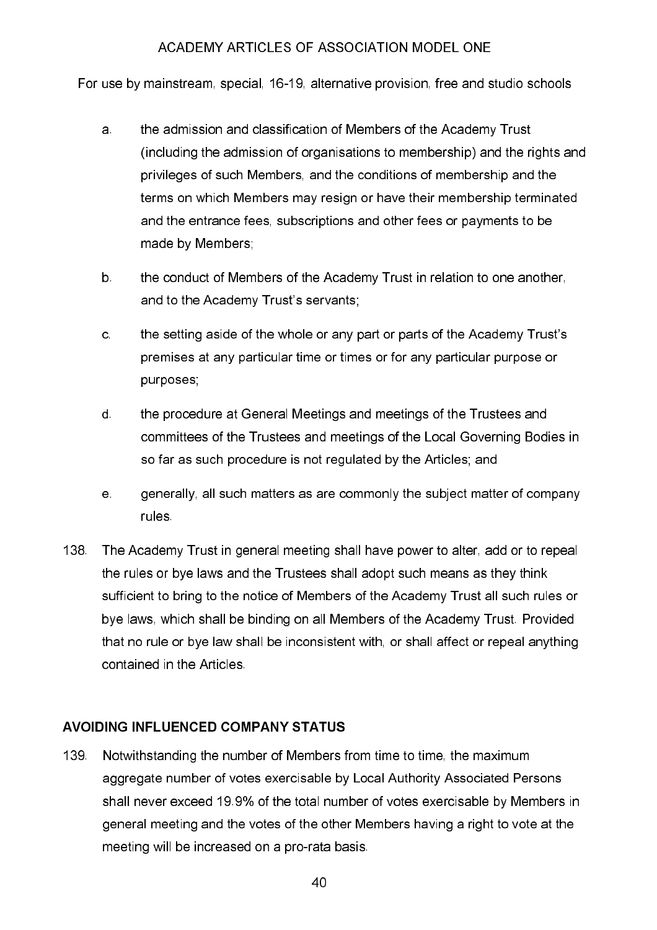For use by mainstream, special, 16-19, alternative provision, free and studio schools

- the admission and classification of Members of the Academy Trust a. (including the admission of organisations to membership) and the rights and privileges of such Members, and the conditions of membership and the terms on which Members may resign or have their membership terminated and the entrance fees, subscriptions and other fees or payments to be made by Members;
- $b$ the conduct of Members of the Academy Trust in relation to one another, and to the Academy Trust's servants;
- $\mathbf{c}$ the setting aside of the whole or any part or parts of the Academy Trust's premises at any particular time or times or for any particular purpose or purposes;
- the procedure at General Meetings and meetings of the Trustees and d. committees of the Trustees and meetings of the Local Governing Bodies in so far as such procedure is not regulated by the Articles; and
- $e<sub>1</sub>$ generally, all such matters as are commonly the subject matter of company rules.
- 138 The Academy Trust in general meeting shall have power to alter, add or to repeal the rules or bye laws and the Trustees shall adopt such means as they think sufficient to bring to the notice of Members of the Academy Trust all such rules or bye laws, which shall be binding on all Members of the Academy Trust. Provided that no rule or bye law shall be inconsistent with, or shall affect or repeal anything contained in the Articles

# **AVOIDING INFLUENCED COMPANY STATUS**

139 Notwithstanding the number of Members from time to time, the maximum aggregate number of votes exercisable by Local Authority Associated Persons shall never exceed 19.9% of the total number of votes exercisable by Members in general meeting and the votes of the other Members having a right to vote at the meeting will be increased on a pro-rata basis.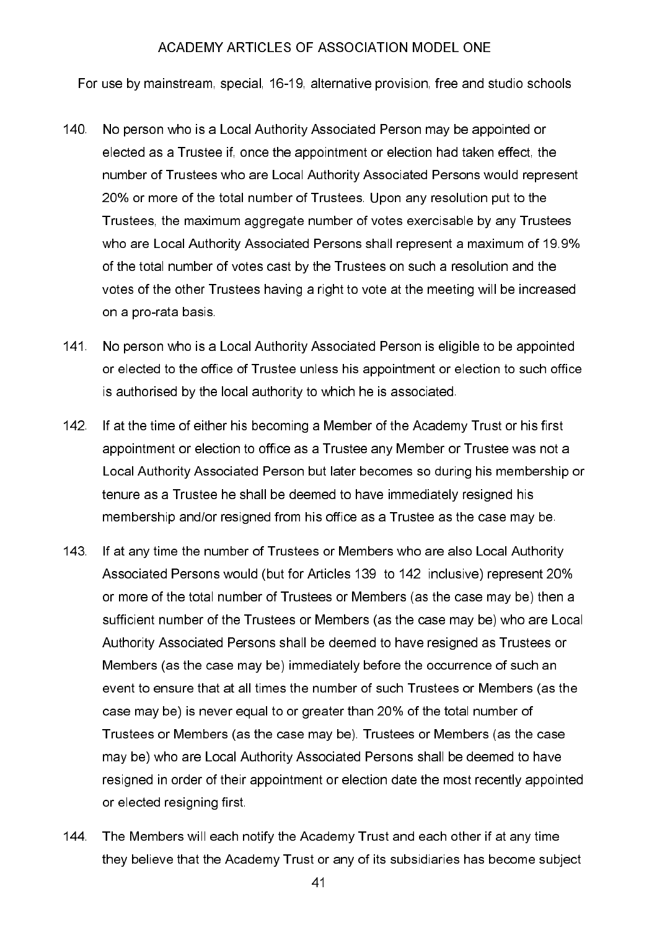For use by mainstream, special, 16-19, alternative provision, free and studio schools

- $140<sub>1</sub>$ No person who is a Local Authority Associated Person may be appointed or elected as a Trustee if, once the appointment or election had taken effect, the number of Trustees who are Local Authority Associated Persons would represent 20% or more of the total number of Trustees. Upon any resolution put to the Trustees, the maximum aggregate number of votes exercisable by any Trustees who are Local Authority Associated Persons shall represent a maximum of 19.9% of the total number of votes cast by the Trustees on such a resolution and the votes of the other Trustees having a right to vote at the meeting will be increased on a pro-rata basis
- $141$ No person who is a Local Authority Associated Person is eligible to be appointed or elected to the office of Trustee unless his appointment or election to such office is authorised by the local authority to which he is associated.
- $142<sub>1</sub>$ If at the time of either his becoming a Member of the Academy Trust or his first appointment or election to office as a Trustee any Member or Trustee was not a Local Authority Associated Person but later becomes so during his membership or tenure as a Trustee he shall be deemed to have immediately resigned his membership and/or resigned from his office as a Trustee as the case may be.
- $143<sup>°</sup>$ If at any time the number of Trustees or Members who are also Local Authority Associated Persons would (but for Articles 139 to 142 inclusive) represent 20% or more of the total number of Trustees or Members (as the case may be) then a sufficient number of the Trustees or Members (as the case may be) who are Local Authority Associated Persons shall be deemed to have resigned as Trustees or Members (as the case may be) immediately before the occurrence of such an event to ensure that at all times the number of such Trustees or Members (as the case may be) is never equal to or greater than 20% of the total number of Trustees or Members (as the case may be). Trustees or Members (as the case may be) who are Local Authority Associated Persons shall be deemed to have resigned in order of their appointment or election date the most recently appointed or elected resigning first.
- $144$ The Members will each notify the Academy Trust and each other if at any time they believe that the Academy Trust or any of its subsidiaries has become subject